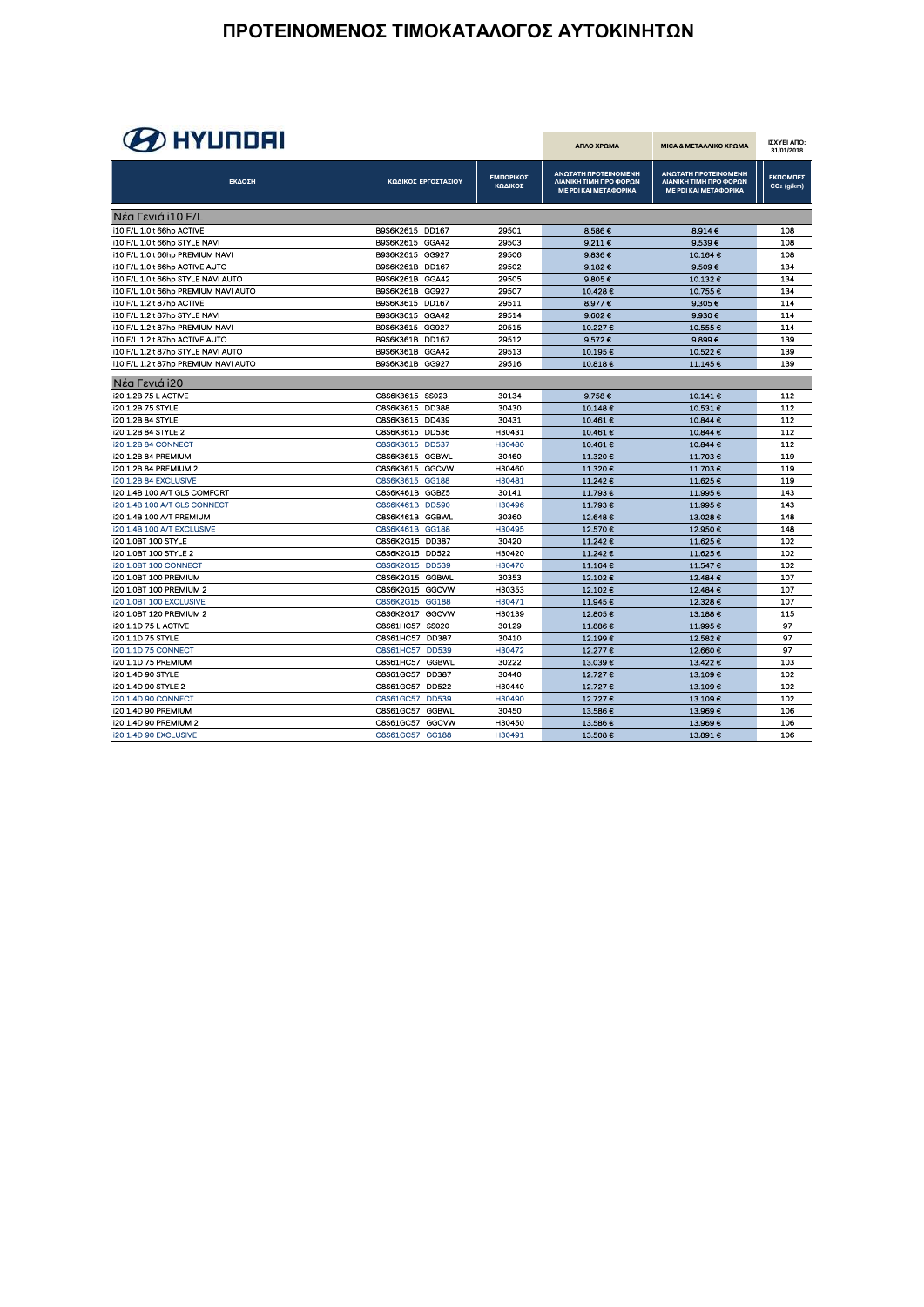# **B** HYUNDAI

| <i>- 2</i> FM 9119 FM                       |                  |                     |                      | ΑΠΛΟ ΧΡΩΜΑ                                                              | <b>MICA &amp; METAΛΛΙΚΟ ΧΡΩΜΑ</b>                                       | ΙΣΧΥΕΙ ΑΠΟ:<br>31/01/2018          |
|---------------------------------------------|------------------|---------------------|----------------------|-------------------------------------------------------------------------|-------------------------------------------------------------------------|------------------------------------|
| ΕΚΔΟΣΗ                                      |                  | ΚΩΔΙΚΟΣ ΕΡΓΟΣΤΑΣΙΟΥ | ΕΜΠΟΡΙΚΟΣ<br>ΚΩΔΙΚΟΣ | ΑΝΩΤΑΤΗ ΠΡΟΤΕΙΝΟΜΕΝΗ<br>ΛΙΑΝΙΚΗ ΤΙΜΗ ΠΡΟ ΦΟΡΩΝ<br>ΜΕ ΡDΙ ΚΑΙ ΜΕΤΑΦΟΡΙΚΑ | ΑΝΩΤΑΤΗ ΠΡΟΤΕΙΝΟΜΕΝΗ<br>ΛΙΑΝΙΚΗ ΤΙΜΗ ΠΡΟ ΦΟΡΩΝ<br>ΜΕ ΡDΙ ΚΑΙ ΜΕΤΑΦΟΡΙΚΑ | ΕΚΠΟΜΠΕΣ<br>CO <sub>2</sub> (g/km) |
| <b>Νέα Γενιά i10 F/L</b>                    |                  |                     |                      |                                                                         |                                                                         |                                    |
| i10 F/L 1.0lt 66hp ACTIVE                   | B9S6K2615 DD167  |                     | 29501                | 8.586 €                                                                 | 8.914 €                                                                 | 108                                |
| i10 F/L 1.0lt 66hp STYLE NAVI               | B9S6K2615 GGA42  |                     | 29503                | 9.2116                                                                  | 9.539€                                                                  | 108                                |
| i10 F/L 1.0lt 66hp PREMIUM NAVI             | B9S6K2615 GG927  |                     | 29506                | 9.836€                                                                  | 10.164€                                                                 | 108                                |
| i10 F/L 1.0lt 66hp ACTIVE AUTO              | B9S6K261B DD167  |                     | 29502                | 9.182 $€$                                                               | 9.509€                                                                  | 134                                |
| i10 F/L 1.0lt 66hp STYLE NAVI AUTO          | B9S6K261B GGA42  |                     | 29505                | 9.805€                                                                  | 10.132€                                                                 | 134                                |
| i10 F/L 1.0lt 66hp PREMIUM NAVI AUTO        | B9S6K261B GG927  |                     | 29507                | 10.428€                                                                 | 10.755€                                                                 | 134                                |
| i10 F/L 1.2lt 87hp ACTIVE                   | B9S6K3615 DD167  |                     | 29511                | 8.977€                                                                  | 9.305 €                                                                 | 114                                |
| I10 F/L 1.2lt 87hp STYLE NAVI               | B9S6K3615 GGA42  |                     | 29514                | 9.602€                                                                  | 9.930 €                                                                 | 114                                |
| i10 F/L 1.2lt 87hp PREMIUM NAVI             | B9S6K3615 GG927  |                     | 29515                | 10.227€                                                                 | 10.555€                                                                 | 114                                |
| 110 F/L 1 2lt 87hp ACTIVE AUTO              | B9S6K361B DD167  |                     | 29512                | 9.572€                                                                  | 9.899€                                                                  | 139                                |
| i10 F/L 1.2lt 87hp STYLE NAVI AUTO          | <b>B9S6K361B</b> | GGA42               | 29513                | 10.195€                                                                 | 10.522€                                                                 | 139                                |
| <b>i10 F/L 1.2lt 87hp PREMIUM NAVI AUTO</b> | B9S6K361B GG927  |                     | 29516                | 10818€                                                                  | 11.145€                                                                 | 139                                |
| Nέα Γενιά i20                               |                  |                     |                      |                                                                         |                                                                         |                                    |
| <b>i20 1.2B 75 L ACTIVE</b>                 | C8S6K3615 SS023  |                     | 30134                | 9.758E                                                                  | 10.141€                                                                 | 112                                |
| <b>120 1.2B 75 STYLE</b>                    | C8S6K3615        | <b>DD388</b>        | 30430                | 10.148€                                                                 | 10.531€                                                                 | 112                                |
| <b>I20 1.2B 84 STYLE</b>                    | C8S6K3615 DD439  |                     | 30431                | 10.461 €                                                                | 10.844€                                                                 | 112                                |
| i20 1.2B 84 STYLE 2                         | C8S6K3615 DD536  |                     | H30431               | 10.461€                                                                 | 10.844 €                                                                | 112                                |
| <b>i20 1.2B 84 CONNECT</b>                  | C8S6K3615        | <b>DD537</b>        | H30480               | 10.461€                                                                 | 10.844 €                                                                | 112                                |
| <b>i20 1.2B 84 PREMIUM</b>                  | C8S6K3615 GGBWL  |                     | 30460                | 11.320€                                                                 | 11.703€                                                                 | 119                                |
| <b>120 1.2B 84 PREMIUM 2</b>                | C8S6K3615 GGCVW  |                     | H30460               | 11 320 €                                                                | 11.703€                                                                 | 119                                |
| <b>I20 1.2B 84 EXCLUSIVE</b>                | C8S6K3615        | GG188               | H30481               | 11.242€                                                                 | 11.625€                                                                 | 119                                |
| <b>i20 1.4B 100 A/T GLS COMFORT</b>         | C8S6K461B        | GGBZ5               | 30141                | 11.793 €                                                                | 11.995€                                                                 | 143                                |
| i20 1.4B 100 A/T GLS CONNECT                | C8S6K461B        | <b>DD590</b>        | H30496               | 11.793€                                                                 | 11.995€                                                                 | 143                                |
| <b>i20 1.4B 100 A/T PREMIUM</b>             | C8S6K461B GGBWL  |                     | 30360                | 12.648€                                                                 | 13.028€                                                                 | 148                                |
| <b>i20 1.4B 100 A/T EXCLUSIVE</b>           | <b>C8S6K461B</b> | GG188               | H30495               | 12.570€                                                                 | 12.950€                                                                 | 148                                |
| <b>I20 1.0BT 100 STYLE</b>                  | C8S6K2G15 DD387  |                     | 30420                | 11.242 €                                                                | 11.625€                                                                 | 102                                |
| <b>i20 1.0BT 100 STYLE 2</b>                | C8S6K2G15 DD522  |                     | H30420               | 11.242€                                                                 | 11.625€                                                                 | 102                                |
| <b>i20 1.0BT 100 CONNECT</b>                | C8S6K2G15 DD539  |                     | H30470               | 11.164 €                                                                | 11.547€                                                                 | 102                                |
| <b>i20 1.0BT 100 PREMIUM</b>                | C8S6K2G15 GGBWL  |                     | 30353                | 12.102€                                                                 | 12.484€                                                                 | 107                                |
| <b>i20 1.0BT 100 PREMIUM 2</b>              | C8S6K2G15 GGCVW  |                     | H30353               | 12 102 €                                                                | 12.484 €                                                                | 107                                |
| <b>I20 1.0BT 100 EXCLUSIVE</b>              | C8S6K2G15 GG188  |                     | H30471               | 11.945€                                                                 | 12.328€                                                                 | 107                                |
| <b>i20 1.0BT 120 PREMIUM 2</b>              | C8S6K2G17        | GGCVW               | H30139               | 12.805€                                                                 | 13.188€                                                                 | 115                                |
| <b>120 1.1D 75 L ACTIVE</b>                 | C8S61HC57        | <b>SS020</b>        | 30129                | 11.886€                                                                 | 11.995€                                                                 | 97                                 |
| <b>120 1.1D 75 STYLE</b>                    | C8S61HC57        | DD387               | 30410                | 12 199 €                                                                | 12.582€                                                                 | 97                                 |
| <b>i20 1.1D 75 CONNECT</b>                  | C8S61HC57        | <b>DD539</b>        | H30472               | 12 277 €                                                                | 12.660€                                                                 | 97                                 |
| <b>i20 1.1D 75 PREMIUM</b>                  | C8S61HC57        | <b>GGBWL</b>        | 30222                | 13.039€                                                                 | 13.422€                                                                 | 103                                |
| <b>i20 1.4D 90 STYLE</b>                    | C8S61GC57        | <b>DD387</b>        | 30440                | 12.727€                                                                 | 13.109€                                                                 | 102                                |
| <b>120 1.4D 90 STYLE 2</b>                  | C8S61GC57        | <b>DD522</b>        | H30440               | 12.727€                                                                 | 13.109€                                                                 | 102                                |
| <b>i20 1.4D 90 CONNECT</b>                  | C8S61GC57        | <b>DD539</b>        | H30490               | 12.727€                                                                 | 13.109€                                                                 | 102                                |
| <b>i20 1.4D 90 PREMIUM</b>                  | C8S61GC57        | <b>GGBWL</b>        | 30450                | 13 586 €                                                                | 13.969€                                                                 | 106                                |
| <b>I20 1.4D 90 PREMIUM 2</b>                | C8S61GC57        | GGCVW               | H30450               | 13.586€                                                                 | 13.969€                                                                 | 106                                |
| i20 1.4D 90 EXCLUSIVE                       | C8S61GC57        | GG188               | H30491               | 13.508€                                                                 | 13.891€                                                                 | 106                                |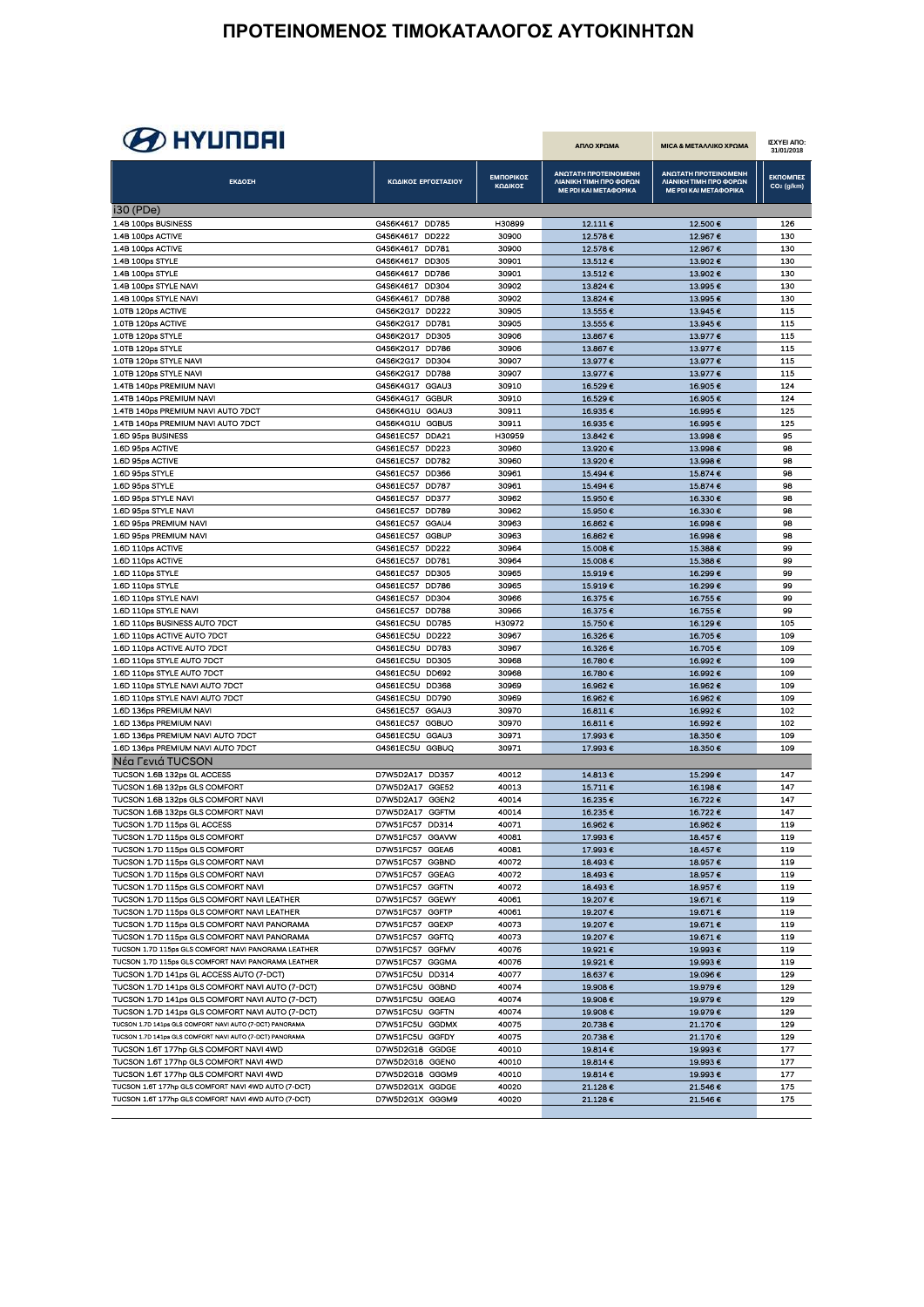# **B** HYUNDAI

| <i>ар</i> птенен                                                                                   |                                    |                       |                      | ΑΠΛΟ ΧΡΩΜΑ                                                              | ΜΙΣΑ & ΜΕΤΑΛΛΙΚΟ ΧΡΩΜΑ                                                  | ΙΣΧΥΕΙ ΑΠΟ:<br>31/01/2018 |
|----------------------------------------------------------------------------------------------------|------------------------------------|-----------------------|----------------------|-------------------------------------------------------------------------|-------------------------------------------------------------------------|---------------------------|
| ΕΚΔΟΣΗ                                                                                             |                                    | ΚΩΔΙΚΟΣ ΕΡΓΟΣΤΑΣΙΟΥ   | ΕΜΠΟΡΙΚΟΣ<br>ΚΩΔΙΚΟΣ | ΑΝΩΤΑΤΗ ΠΡΟΤΕΙΝΟΜΕΝΗ<br>ΛΙΑΝΙΚΗ ΤΙΜΗ ΠΡΟ ΦΟΡΩΝ<br>ΜΕ ΡDΙ ΚΑΙ ΜΕΤΑΦΟΡΙΚΑ | ΑΝΩΤΑΤΗ ΠΡΟΤΕΙΝΟΜΕΝΗ<br>ΛΙΑΝΙΚΗ ΤΙΜΗ ΠΡΟ ΦΟΡΩΝ<br>ΜΕ ΡDΙ ΚΑΙ ΜΕΤΑΦΟΡΙΚΑ |                           |
| i30 (PDe)                                                                                          |                                    |                       |                      |                                                                         |                                                                         |                           |
| 1.4B 100ps BUSINESS                                                                                | G4S6K4617 DD785                    |                       | H30899               | 12.111€                                                                 | 12.500€                                                                 | 126                       |
| 1.4B 100ps ACTIVE                                                                                  | G4S6K4617 DD222                    |                       | 30900                | 12.578€                                                                 | 12.967€                                                                 | 130                       |
| 1.4B 100ps ACTIVE                                                                                  | G4S6K4617 DD781                    |                       | 30900                | 12.578€                                                                 | 12.967€                                                                 | 130                       |
| 1.4B 100ps STYLE<br>1.4B 100ps STYLE                                                               | G4S6K4617 DD305<br>G4S6K4617 DD786 |                       | 30901<br>30901       | 13.512€<br>13.512€                                                      | 13.902 €<br>13.902€                                                     | 130<br>130                |
| 1.4B 100ps STYLE NAVI                                                                              | G4S6K4617                          | <b>DD304</b>          | 30902                | 13.824 €                                                                | 13.995€                                                                 | 130                       |
| 1.4B 100ps STYLE NAVI                                                                              | G4S6K4617                          | <b>DD788</b>          | 30902                | 13.824 €                                                                | 13.995€                                                                 | 130                       |
| 1.0TB 120ps ACTIVE                                                                                 | G4S6K2G17                          | DD222                 | 30905                | 13.555€                                                                 | 13.945€                                                                 | 115                       |
| 1.0TB 120ps ACTIVE                                                                                 | G4S6K2G17 DD781                    |                       | 30905                | 13.555€                                                                 | 13.945€                                                                 | 115                       |
| 1.0TB 120ps STYLE                                                                                  | G4S6K2G17                          | <b>DD305</b>          | 30906                | 13.867€                                                                 | 13.977€                                                                 | 115                       |
| 1.0TB 120ps STYLE                                                                                  | G4S6K2G17                          | DD786                 | 30906                | 13.867€                                                                 | 13.977€                                                                 | 115                       |
| 1.0TB 120ps STYLE NAVI                                                                             | G4S6K2G17<br>G4S6K2G17             | DD304<br><b>DD788</b> | 30907<br>30907       | 13.977€<br>13.977€                                                      | 13.977€                                                                 | 115<br>115                |
| 1.0TB 120ps STYLE NAVI<br>1.4TB 140ps PREMIUM NAVI                                                 | G4S6K4G17                          | GGAU3                 | 30910                | 16.529€                                                                 | 13.977€<br>16.905€                                                      | 124                       |
| 1.4TB 140ps PREMIUM NAVI                                                                           | G4S6K4G17 GGBUR                    |                       | 30910                | 16.529€                                                                 | 16.905€                                                                 | 124                       |
| 1.4TB 140ps PREMIUM NAVI AUTO 7DCT                                                                 | G4S6K4G1U                          | GGAU3                 | 30911                | 16.935€                                                                 | 16.995€                                                                 | 125                       |
| 1.4TB 140ps PREMIUM NAVI AUTO 7DCT                                                                 | G4S6K4G1U                          | GGBUS                 | 30911                | 16.935€                                                                 | 16.995€                                                                 | 125                       |
| 1.6D 95ps BUSINESS                                                                                 | G4S61EC57 DDA21                    |                       | H30959               | 13.842€                                                                 | 13.998€                                                                 | 95                        |
| 1.6D 95ps ACTIVE                                                                                   | G4S61EC57                          | DD223                 | 30960                | 13.920€                                                                 | 13.998€                                                                 | 98                        |
| 1.6D 95ps ACTIVE                                                                                   | G4S61EC57                          | DD782                 | 30960                | 13.920€                                                                 | 13.998€                                                                 | 98                        |
| 1.6D 95ps STYLE                                                                                    | G4S61EC57 DD366                    |                       | 30961                | 15.494 €                                                                | 15.874€                                                                 | 98                        |
| 1.6D 95ps STYLE<br>1.6D 95ps STYLE NAVI                                                            | G4S61EC57<br>G4S61EC57             | <b>DD787</b><br>DD377 | 30961<br>30962       | 15.494 €<br>15.950€                                                     | 15.874€<br>16.330€                                                      | 98<br>98                  |
| 1.6D 95ps STYLE NAVI                                                                               | G4S61EC57                          | DD789                 | 30962                | 15.950€                                                                 | 16.330 €                                                                | 98                        |
| 1.6D 95ps PREMIUM NAVI                                                                             | G4S61EC57                          | GGAU4                 | 30963                | 16.862€                                                                 | 16.998€                                                                 | 98                        |
| 1.6D 95ps PREMIUM NAVI                                                                             | G4S61EC57                          | <b>GGBUP</b>          | 30963                | 16.862€                                                                 | 16.998€                                                                 | 98                        |
| 1.6D 110ps ACTIVE                                                                                  | G4S61EC57                          | <b>DD222</b>          | 30964                | 15.008€                                                                 | 15.388 €                                                                | 99                        |
| 1.6D 110ps ACTIVE                                                                                  | G4S61EC57                          | DD781                 | 30964                | 15.008€                                                                 | 15.388€                                                                 | 99                        |
| 1.6D 110ps STYLE                                                                                   | G4S61EC57                          | <b>DD305</b>          | 30965                | 15.919€                                                                 | 16.299€                                                                 | 99                        |
| 1.6D 110ps STYLE<br>1.6D 110ps STYLE NAVI                                                          | G4S61EC57<br>G4S61EC57             | <b>DD786</b><br>DD304 | 30965<br>30966       | 15.919€<br>16.375€                                                      | 16.299€<br>16.755€                                                      | 99<br>99                  |
| 1.6D 110ps STYLE NAVI                                                                              | G4S61EC57 DD788                    |                       | 30966                | 16.375€                                                                 | 16.755€                                                                 | 99                        |
| 1.6D 110ps BUSINESS AUTO 7DCT                                                                      | G4S61EC5U                          | DD785                 | H30972               | 15.750€                                                                 | 16.129€                                                                 | 105                       |
| 1.6D 110ps ACTIVE AUTO 7DCT                                                                        | G4S61EC5U                          | DD222                 | 30967                | 16.326€                                                                 | 16.705€                                                                 | 109                       |
| 1.6D 110ps ACTIVE AUTO 7DCT                                                                        | G4S61EC5U DD783                    |                       | 30967                | 16.326€                                                                 | 16.705€                                                                 | 109                       |
| 1.6D 110ps STYLE AUTO 7DCT                                                                         | G4S61EC5U                          | DD305                 | 30968                | 16.780€                                                                 | 16.992€                                                                 | 109                       |
| 1.6D 110ps STYLE AUTO 7DCT                                                                         | G4S61EC5U<br>G4S61EC5U             | DD692<br>DD368        | 30968<br>30969       | 16.780€                                                                 | 16.992€                                                                 | 109                       |
| 1.6D 110ps STYLE NAVI AUTO 7DCT<br>1.6D 110ps STYLE NAVI AUTO 7DCT                                 | G4S61EC5U                          | DD790                 | 30969                | 16.962€<br>16.962€                                                      | 16.962€<br>16.962€                                                      | 109<br>109                |
| 1.6D 136ps PREMIUM NAVI                                                                            | G4S61EC57                          | GGAU3                 | 30970                | 16.811€                                                                 | 16.992€                                                                 | 102                       |
| 1.6D 136ps PREMIUM NAVI                                                                            | G4S61EC57                          | GGBUO                 | 30970                | 16.811€                                                                 | 16.992€                                                                 | 102                       |
| 1.6D 136ps PREMIUM NAVI AUTO 7DCT                                                                  | G4S61EC5U                          | GGAU3                 | 30971                | 17.993€                                                                 | 18.350€                                                                 | 109                       |
| 1.6D 136ps PREMIUM NAVI AUTO 7DCT                                                                  | G4S61EC5U GGBUQ                    |                       | 30971                | 17.993€                                                                 | 18.350€                                                                 | 109                       |
| Νέα Γενιά TUCSON                                                                                   |                                    |                       |                      |                                                                         |                                                                         |                           |
| TUCSON 1.6B 132ps GL ACCESS                                                                        | D7W5D2A17 DD357                    |                       | 40012                | 14.813€                                                                 | 15.299€                                                                 | 147                       |
| TUCSON 1.6B 132ps GLS COMFORT<br>TUCSON 1.6B 132ps GLS COMFORT NAVI                                | D7W5D2A17 GGE52<br>D7W5D2A17 GGEN2 |                       | 40013<br>40014       | 15.711€<br>16.235€                                                      | 16.198€<br>16.722€                                                      | 147<br>147                |
| TUCSON 1.6B 132ps GLS COMFORT NAVI                                                                 | D7W5D2A17 GGFTM                    |                       | 40014                | 16.235€                                                                 | 16.722€                                                                 | 147                       |
| TUCSON 1.7D 115ps GL ACCESS                                                                        | D7W51FC57 DD314                    |                       | 40071                | 16.962€                                                                 | 16.962€                                                                 | 119                       |
| TUCSON 1.7D 115ps GLS COMFORT                                                                      | D7W51FC57 GGAVW                    |                       | 40081                | 17.9936                                                                 | 18.457€                                                                 | 110                       |
| TUCSON 1.7D 115ps GLS COMFORT                                                                      | D7W51FC57 GGEA6                    |                       | 40081                | 17.993€                                                                 | 18.457€                                                                 | 119                       |
| TUCSON 1.7D 115ps GLS COMFORT NAVI                                                                 | D7W51FC57 GGBND                    |                       | 40072                | 18.493€                                                                 | 18.957€                                                                 | 119                       |
| TUCSON 1.7D 115ps GLS COMFORT NAVI                                                                 | D7W51FC57 GGEAG                    |                       | 40072                | 18.493€                                                                 | 18.957€                                                                 | 119                       |
| TUCSON 1.7D 115ps GLS COMFORT NAVI<br>TUCSON 1.7D 115ps GLS COMFORT NAVI LEATHER                   | D7W51FC57 GGFTN<br>D7W51FC57 GGEWY |                       | 40072<br>40061       | 18.493€<br>19.207€                                                      | 18.957€<br>19.671€                                                      | 119<br>119                |
| TUCSON 1.7D 115ps GLS COMFORT NAVI LEATHER                                                         | D7W51FC57 GGFTP                    |                       | 40061                | 19.207€                                                                 | 19.671€                                                                 | 119                       |
| TUCSON 1.7D 115ps GLS COMFORT NAVI PANORAMA                                                        | D7W51FC57 GGEXP                    |                       | 40073                | 19.207€                                                                 | 19.671€                                                                 | 119                       |
| TUCSON 1.7D 115ps GLS COMFORT NAVI PANORAMA                                                        | D7W51FC57 GGFTQ                    |                       | 40073                | 19.207€                                                                 | 19.671€                                                                 | 119                       |
| TUCSON 1.7D 115ps GLS COMFORT NAVI PANORAMA LEATHER                                                | D7W51FC57 GGFMV                    |                       | 40076                | 19.921€                                                                 | 19.993€                                                                 | 119                       |
| TUCSON 1.7D 115ps GLS COMFORT NAVI PANORAMA LEATHER                                                | D7W51FC57 GGGMA                    |                       | 40076                | 19.921€                                                                 | 19.993€                                                                 | 119                       |
| TUCSON 1.7D 141ps GL ACCESS AUTO (7-DCT)                                                           | D7W51FC5U DD314                    |                       | 40077                | 18.637€                                                                 | 19.096€                                                                 | 129                       |
| TUCSON 1.7D 141ps GLS COMFORT NAVI AUTO (7-DCT)<br>TUCSON 1.7D 141ps GLS COMFORT NAVI AUTO (7-DCT) | D7W51FC5U<br>D7W51FC5U GGEAG       | GGBND                 | 40074<br>40074       | 19.908€                                                                 | 19.979€                                                                 | 129<br>129                |
| TUCSON 1.7D 141ps GLS COMFORT NAVI AUTO (7-DCT)                                                    | D7W51FC5U GGFTN                    |                       | 40074                | 19.908€<br>19.908€                                                      | 19.979€<br>19.979€                                                      | 129                       |
| TUCSON 1.7D 141ps GLS COMFORT NAVI AUTO (7-DCT) PANORAMA                                           | D7W51FC5U GGDMX                    |                       | 40075                | 20.738€                                                                 | 21.170€                                                                 | 129                       |
| TUCSON 1.7D 141ps GLS COMFORT NAVI AUTO (7-DCT) PANORAMA                                           | D7W51FC5U GGFDY                    |                       | 40075                | 20.738€                                                                 | 21.170€                                                                 | 129                       |
| TUCSON 1.6T 177hp GLS COMFORT NAVI 4WD                                                             | D7W5D2G18 GGDGE                    |                       | 40010                | 19.814€                                                                 | 19.993€                                                                 | 177                       |
| TUCSON 1.6T 177hp GLS COMFORT NAVI 4WD                                                             | D7W5D2G18 GGEN0                    |                       | 40010                | 19.814€                                                                 | 19.993€                                                                 | 177                       |
| TUCSON 1.6T 177hp GLS COMFORT NAVI 4WD                                                             | D7W5D2G18 GGGM9                    |                       | 40010                | 19.814 €                                                                | 19.993€                                                                 | 177                       |
| TUCSON 1.6T 177hp GLS COMFORT NAVI 4WD AUTO (7-DCT)                                                | D7W5D2G1X GGDGE                    |                       | 40020                | 21.128€                                                                 | 21.546€                                                                 | 175                       |
| TUCSON 1.6T 177hp GLS COMFORT NAVI 4WD AUTO (7-DCT)                                                | D7W5D2G1X GGGM9                    |                       | 40020                | 21.128€                                                                 | 21.546€                                                                 | 175                       |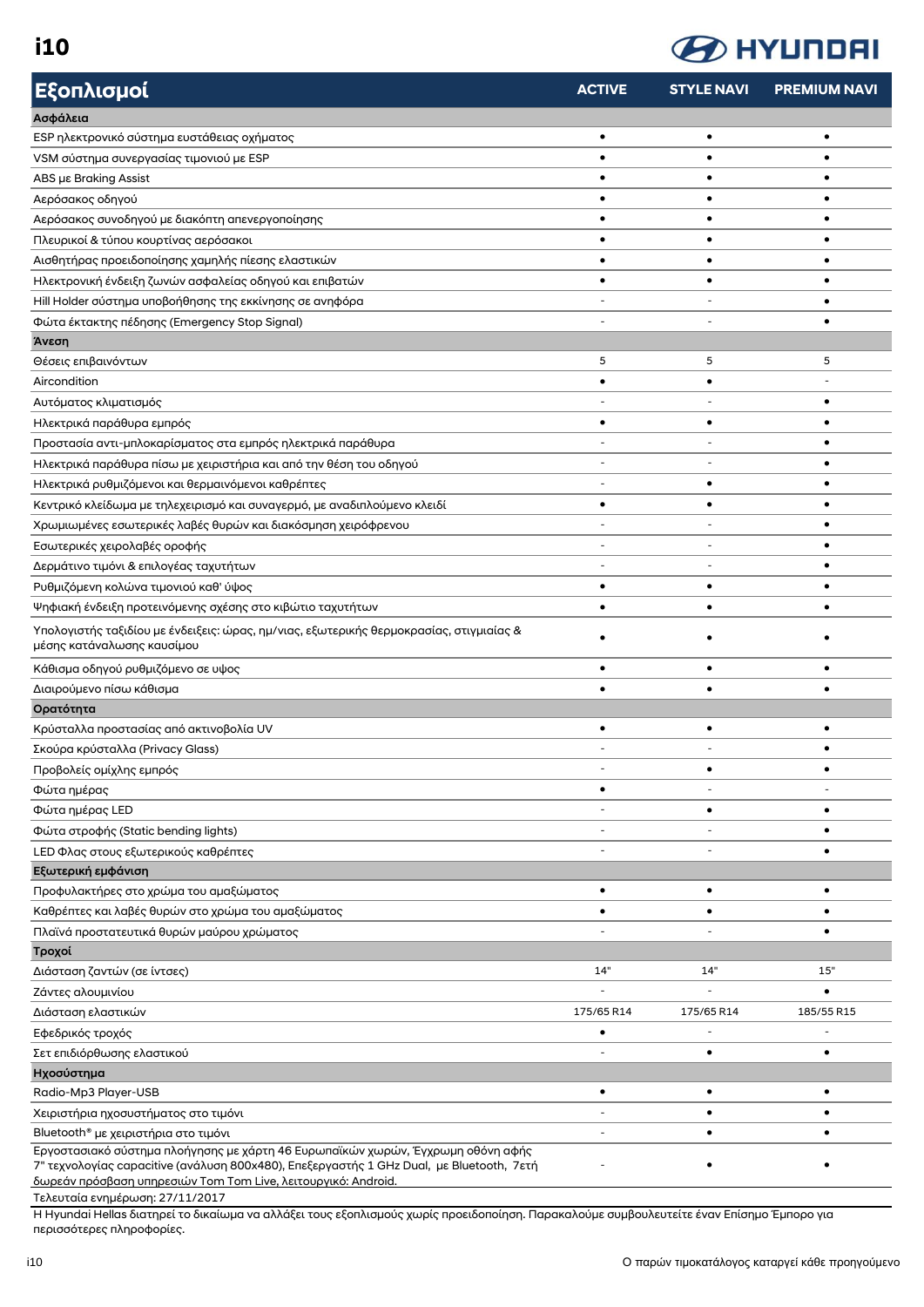**i10**



| Εξοπλισμοί                                                                                                                                                | <b>ACTIVE</b> | <b>STYLE NAVI</b> | <b>PREMIUM NAVI</b> |
|-----------------------------------------------------------------------------------------------------------------------------------------------------------|---------------|-------------------|---------------------|
| Ασφάλεια                                                                                                                                                  |               |                   |                     |
| ESP ηλεκτρονικό σύστημα ευστάθειας οχήματος                                                                                                               | ٠             | $\bullet$         | $\bullet$           |
| VSM σύστημα συνεργασίας τιμονιού με ESP                                                                                                                   |               |                   |                     |
| ABS µs Braking Assist                                                                                                                                     |               |                   |                     |
| Αερόσακος οδηγού                                                                                                                                          |               |                   |                     |
| Αερόσακος συνοδηγού με διακόπτη απενεργοποίησης                                                                                                           | $\bullet$     |                   |                     |
| Πλευρικοί & τύπου κουρτίνας αερόσακοι                                                                                                                     | $\bullet$     |                   |                     |
| Αισθητήρας προειδοποίησης χαμηλής πίεσης ελαστικών                                                                                                        | ٠             |                   |                     |
| Ηλεκτρονική ένδειξη ζωνών ασφαλείας οδηγού και επιβατών                                                                                                   | $\bullet$     |                   |                     |
| Hill Holder σύστημα υποβοήθησης της εκκίνησης σε ανηφόρα                                                                                                  |               |                   |                     |
| Φώτα έκτακτης πέδησης (Emergency Stop Signal)                                                                                                             |               |                   |                     |
| Άνεση                                                                                                                                                     |               |                   |                     |
| Θέσεις επιβαινόντων                                                                                                                                       | 5             | 5                 | 5                   |
| Aircondition                                                                                                                                              | ٠             |                   |                     |
| Αυτόματος κλιματισμός                                                                                                                                     |               |                   |                     |
| Ηλεκτρικά παράθυρα εμπρός                                                                                                                                 | ٠             |                   |                     |
| Προστασία αντι-μπλοκαρίσματος στα εμπρός ηλεκτρικά παράθυρα                                                                                               |               |                   |                     |
| Ηλεκτρικά παράθυρα πίσω με χειριστήρια και από την θέση του οδηγού                                                                                        |               |                   |                     |
| Ηλεκτρικά ρυθμιζόμενοι και θερμαινόμενοι καθρέπτες                                                                                                        |               |                   |                     |
| Κεντρικό κλείδωμα με τηλεχειρισμό και συναγερμό, με αναδιπλούμενο κλειδί                                                                                  | ٠             |                   |                     |
|                                                                                                                                                           |               |                   |                     |
| Χρωμιωμένες εσωτερικές λαβές θυρών και διακόσμηση χειρόφρενου                                                                                             |               |                   |                     |
| Εσωτερικές χειρολαβές οροφής                                                                                                                              |               |                   |                     |
| Δερμάτινο τιμόνι & επιλογέας ταχυτήτων                                                                                                                    |               |                   |                     |
| Ρυθμιζόμενη κολώνα τιμονιού καθ' ύψος                                                                                                                     | $\bullet$     |                   |                     |
| Ψηφιακή ένδειξη προτεινόμενης σχέσης στο κιβώτιο ταχυτήτων                                                                                                |               |                   |                     |
| Υπολογιστής ταξιδίου με ένδειξεις: ώρας, ημ/νιας, εξωτερικής θερμοκρασίας, στιγμιαίας &<br>μέσης κατάναλωσης καυσίμου                                     |               |                   |                     |
| Κάθισμα οδηγού ρυθμιζόμενο σε υψος                                                                                                                        | ٠             |                   |                     |
| Διαιρούμενο πίσω κάθισμα                                                                                                                                  | ٠             |                   |                     |
| Ορατότητα                                                                                                                                                 |               |                   |                     |
| Κρύσταλλα προστασίας από ακτινοβολία UV                                                                                                                   | $\bullet$     |                   |                     |
| Σκούρα κρύσταλλα (Privacy Glass)                                                                                                                          |               |                   |                     |
| Προβολείς ομίχλης εμπρός                                                                                                                                  |               |                   |                     |
| Φώτα ημέρας                                                                                                                                               | ٠             |                   |                     |
| Φώτα ημέρας LED                                                                                                                                           |               | $\bullet$         | $\bullet$           |
| Φώτα στροφής (Static bending lights)                                                                                                                      |               |                   | ٠                   |
| LED Φλας στους εξωτερικούς καθρέπτες                                                                                                                      |               |                   | $\bullet$           |
| Εξωτερική εμφάνιση                                                                                                                                        |               |                   |                     |
| Προφυλακτήρες στο χρώμα του αμαξώματος                                                                                                                    | ٠             | ٠                 | ٠                   |
| Καθρέπτες και λαβές θυρών στο χρώμα του αμαξώματος                                                                                                        | ٠             |                   |                     |
| Πλαϊνά προστατευτικά θυρών μαύρου χρώματος                                                                                                                |               |                   |                     |
| Τροχοί                                                                                                                                                    |               |                   |                     |
| Διάσταση ζαντών (σε ίντσες)                                                                                                                               | 14"           | 14"               | 15"                 |
| Ζάντες αλουμινίου                                                                                                                                         |               |                   |                     |
|                                                                                                                                                           | 175/65 R14    | 175/65 R14        | 185/55 R15          |
| Διάσταση ελαστικών                                                                                                                                        | ٠             |                   |                     |
| Εφεδρικός τροχός<br>Σετ επιδιόρθωσης ελαστικού                                                                                                            |               | ٠                 | $\bullet$           |
|                                                                                                                                                           |               |                   |                     |
| Ηχοσύστημα<br>Radio-Mp3 Player-USB                                                                                                                        | $\bullet$     | $\bullet$         | $\bullet$           |
|                                                                                                                                                           |               |                   |                     |
| Χειριστήρια ηχοσυστήματος στο τιμόνι                                                                                                                      |               |                   |                     |
| Bluetooth® με χειριστήρια στο τιμόνι<br>Εργοστασιακό σύστημα πλοήγησης με χάρτη 46 Ευρωπαϊκών χωρών, Έγχρωμη οθόνη αφής                                   |               |                   |                     |
| 7" τεχνολογίας capacitive (ανάλυση 800x480), Επεξεργαστής 1 GHz Dual, με Bluetooth, 7ετή<br>δωρεάν πρόσβαση υπηρεσιών Tom Tom Live, λειτουργικό: Android. |               |                   |                     |

Τελευταία ενημέρωση: 27/11/2017

Η Hyundai Hellas διατηρεί το δικαίωμα να αλλάξει τους εξοπλισμούς χωρίς προειδοποίηση. Παρακαλούμε συμβουλευτείτε έναν Επίσημο Έμπορο για περισσότερες πληροφορίες.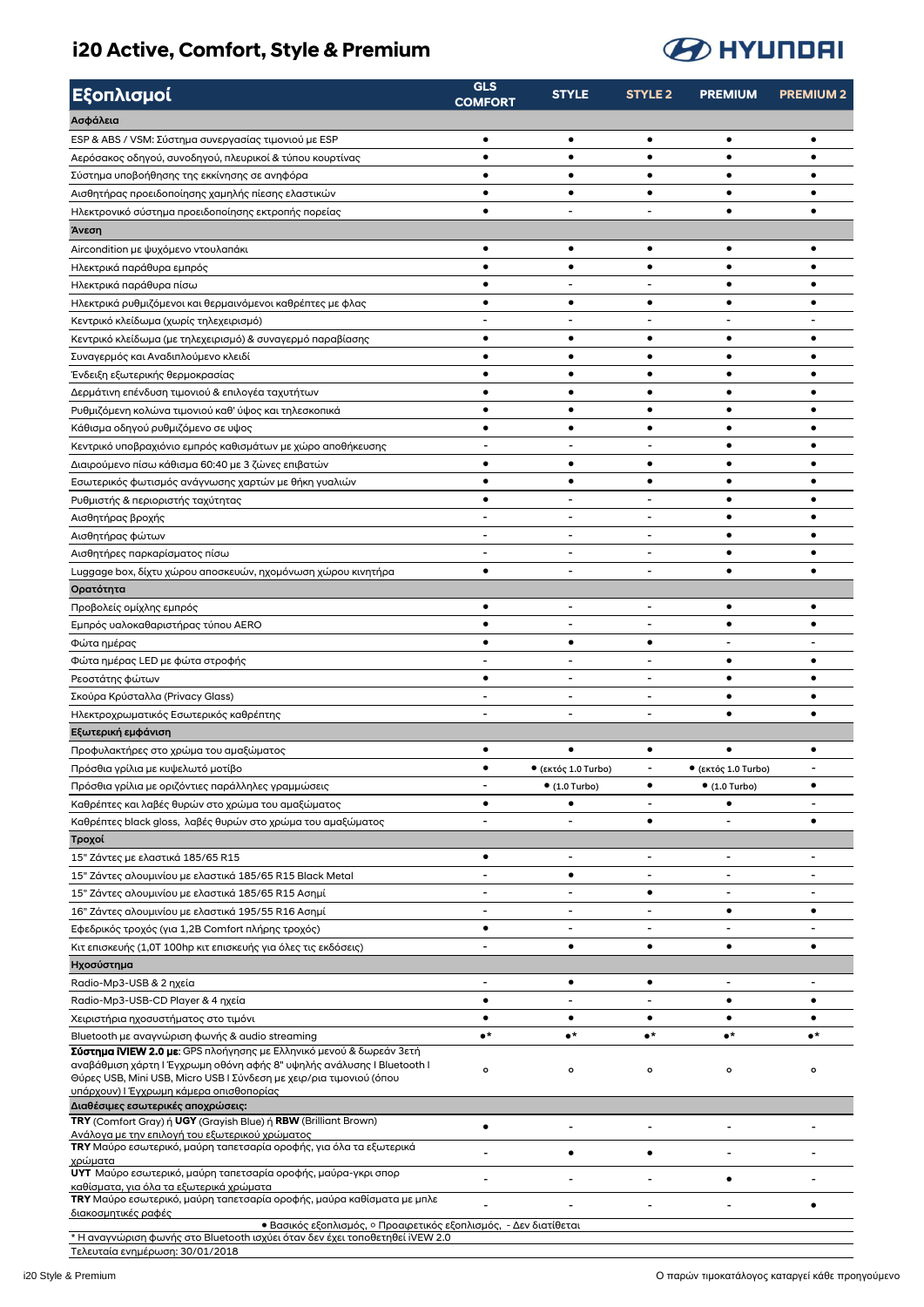#### **i20 Active, Comfort, Style & Premium**



| Εξοπλισμοί                                                                                                                                    | <b>GLS</b><br><b>COMFORT</b> | <b>STYLE</b>                | <b>STYLE 2</b>           | <b>PREMIUM</b>              | <b>PREMIUM2</b>          |
|-----------------------------------------------------------------------------------------------------------------------------------------------|------------------------------|-----------------------------|--------------------------|-----------------------------|--------------------------|
| Ασφάλεια                                                                                                                                      |                              |                             |                          |                             |                          |
| ESP & ABS / VSM: Σύστημα συνεργασίας τιμονιού με ESP                                                                                          | $\bullet$                    | $\bullet$                   | $\bullet$                | $\bullet$                   | $\bullet$                |
| Αερόσακος οδηγού, συνοδηγού, πλευρικοί & τύπου κουρτίνας                                                                                      | $\bullet$                    | $\bullet$                   | $\bullet$                | $\bullet$                   | Ö                        |
| Σύστημα υποβοήθησης της εκκίνησης σε ανηφόρα                                                                                                  | ٠                            | ٠                           | ٠                        | ٠                           |                          |
| Αισθητήρας προειδοποίησης χαμηλής πίεσης ελαστικών                                                                                            | ٠                            | ٠                           | ٠                        | ٠                           |                          |
| Ηλεκτρονικό σύστημα προειδοποίησης εκτροπής πορείας                                                                                           | $\bullet$                    |                             |                          | ٠                           |                          |
| Άνεση                                                                                                                                         |                              |                             |                          |                             |                          |
| Aircondition με ψυχόμενο ντουλαπάκι                                                                                                           | $\bullet$                    | $\bullet$                   | $\bullet$                | $\bullet$                   | ٠                        |
| Ηλεκτρικά παράθυρα εμπρός                                                                                                                     | $\bullet$                    | $\bullet$                   | $\bullet$                | ٠                           |                          |
| Ηλεκτρικά παράθυρα πίσω                                                                                                                       | ٠                            |                             |                          | ٠                           |                          |
| Ηλεκτρικά ρυθμιζόμενοι και θερμαινόμενοι καθρέπτες με φλας                                                                                    | $\bullet$                    | $\bullet$                   | $\bullet$                | $\bullet$                   | ٠                        |
| Κεντρικό κλείδωμα (χωρίς τηλεχειρισμό)                                                                                                        |                              |                             |                          |                             |                          |
| Κεντρικό κλείδωμα (με τηλεχειρισμό) & συναγερμό παραβίασης                                                                                    | $\bullet$                    | ٠                           | ٠                        | ٠                           |                          |
| Συναγερμός και Αναδιπλούμενο κλειδί                                                                                                           | ٠                            | ٠                           | ٠                        | ٠                           | ٠                        |
| Ένδειξη εξωτερικής θερμοκρασίας                                                                                                               | $\bullet$                    | $\bullet$                   | ٠                        | $\bullet$                   |                          |
| Δερμάτινη επένδυση τιμονιού & επιλογέα ταχυτήτων                                                                                              | ٠                            | ٠                           | ٠                        |                             |                          |
| Ρυθμιζόμενη κολώνα τιμονιού καθ' ύψος και τηλεσκοπικά                                                                                         | ٠                            | ٠                           | ٠                        | $\bullet$                   | ٠                        |
| Κάθισμα οδηγού ρυθμιζόμενο σε υψος                                                                                                            | $\bullet$                    | $\bullet$                   | $\bullet$                | $\bullet$                   | $\bullet$                |
| Κεντρικό υποβραχιόνιο εμπρός καθισμάτων με χώρο αποθήκευσης                                                                                   |                              |                             |                          | ٠                           | ٠                        |
| Διαιρούμενο πίσω κάθισμα 60:40 με 3 ζώνες επιβατών                                                                                            | ٠                            | ٠                           | ٠                        | ٠                           | ٠                        |
| Εσωτερικός φωτισμός ανάγνωσης χαρτών με θήκη γυαλιών                                                                                          | $\bullet$                    | $\bullet$                   | ٠                        | ٠                           | ٠                        |
| Ρυθμιστής & περιοριστής ταχύτητας                                                                                                             | $\bullet$                    |                             |                          | ٠                           | ٠                        |
| Αισθητήρας βροχής                                                                                                                             | $\overline{\phantom{0}}$     | $\overline{\phantom{a}}$    | $\blacksquare$           | ٠                           | ٠                        |
| Αισθητήρας φώτων                                                                                                                              | $\overline{\phantom{0}}$     | $\overline{\phantom{0}}$    |                          | ٠                           | ٠                        |
| Αισθητήρες παρκαρίσματος πίσω                                                                                                                 | Ĭ.                           | $\overline{a}$              |                          | ٠                           | ٠                        |
| Luggage box, δίχτυ χώρου αποσκευών, ηχομόνωση χώρου κινητήρα                                                                                  | $\bullet$                    |                             |                          | ٠                           |                          |
| Ορατότητα                                                                                                                                     |                              |                             |                          |                             |                          |
| Προβολείς ομίχλης εμπρός                                                                                                                      | $\bullet$                    |                             |                          | ٠                           |                          |
| Εμπρός υαλοκαθαριστήρας τύπου ΑΕRΟ                                                                                                            | $\bullet$                    |                             |                          |                             |                          |
| Φώτα ημέρας                                                                                                                                   | $\bullet$                    | $\bullet$                   | ٠                        |                             |                          |
| Φώτα ημέρας LED με φώτα στροφής                                                                                                               |                              |                             |                          | $\bullet$                   | $\bullet$                |
| Ρεοστάτης φώτων                                                                                                                               | $\bullet$                    |                             |                          | ٠                           | ٠                        |
| Σκούρα Κρύσταλλα (Privacy Glass)                                                                                                              | $\overline{\phantom{0}}$     | $\overline{\phantom{a}}$    | $\blacksquare$           | $\bullet$                   | ٠                        |
| Ηλεκτροχρωματικός Εσωτερικός καθρέπτης                                                                                                        |                              |                             |                          | $\bullet$                   |                          |
| Εξωτερική εμφάνιση                                                                                                                            |                              |                             |                          |                             |                          |
| Προφυλακτήρες στο χρώμα του αμαξώματος                                                                                                        | ٠                            | ٠                           | ٠                        | ٠                           | ٠                        |
| Πρόσθια γρίλια με κυψελωτό μοτίβο                                                                                                             |                              | $\bullet$ (εκτός 1.0 Turbo) |                          | $\bullet$ (εκτός 1.0 Turbo) |                          |
| Πρόσθια γρίλια με οριζόντιες παράλληλες γραμμώσεις                                                                                            | ۰                            | $• (1.0$ Turbo)             | ٠                        | $• (1.0$ Turbo)             | ٠                        |
| Καθρέπτες και λαβές θυρών στο χρώμα του αμαξώματος                                                                                            | $\bullet$                    |                             |                          |                             |                          |
| Καθρέπτες black gloss, λαβές θυρών στο χρώμα του αμαξώματος                                                                                   |                              |                             | $\bullet$                |                             | $\bullet$                |
| Τροχοί                                                                                                                                        |                              |                             |                          |                             |                          |
| 15" Ζάντες με ελαστικά 185/65 R15                                                                                                             | $\bullet$                    | $\overline{a}$              | $\overline{a}$           | $\overline{\phantom{a}}$    | $\overline{\phantom{0}}$ |
| 15" Ζάντες αλουμινίου με ελαστικά 185/65 R15 Black Metal                                                                                      | $\blacksquare$               | $\bullet$                   | $\overline{\phantom{0}}$ | $\overline{a}$              | $\overline{a}$           |
| 15" Ζάντες αλουμινίου με ελαστικά 185/65 R15 Ασημί                                                                                            | $\overline{\phantom{0}}$     | $\overline{\phantom{a}}$    | $\bullet$                | $\overline{\phantom{a}}$    | $\overline{a}$           |
| 16" Ζάντες αλουμινίου με ελαστικά 195/55 R16 Ασημί                                                                                            | -                            | $\overline{\phantom{a}}$    | $\overline{\phantom{a}}$ | $\bullet$                   | $\bullet$                |
| Εφεδρικός τροχός (για 1,2B Comfort πλήρης τροχός)                                                                                             | $\bullet$                    | $\blacksquare$              | $\blacksquare$           | $\blacksquare$              | $\overline{\phantom{0}}$ |
| Κιτ επισκευής (1,0T 100hp κιτ επισκευής για όλες τις εκδόσεις)                                                                                |                              | $\bullet$                   | $\bullet$                | $\bullet$                   | ٠                        |
| Ηχοσύστημα                                                                                                                                    |                              |                             |                          |                             |                          |
| Radio-Mp3-USB & 2 ηχεία                                                                                                                       | $\blacksquare$               | $\bullet$                   | $\bullet$                | $\overline{\phantom{a}}$    | $\overline{a}$           |
| Radio-Mp3-USB-CD Player & 4 ηχεία                                                                                                             | $\bullet$                    | $\overline{\phantom{a}}$    | $\overline{a}$           | $\bullet$                   | $\bullet$                |
| Χειριστήρια ηχοσυστήματος στο τιμόνι                                                                                                          | ٠<br>$\bullet^{\star}$       | $\bullet$                   | ٠                        | ٠                           | ٠                        |
| Bluetooth με αναγνώριση φωνής & audio streaming<br>Σύστημα iVIEW 2.0 με: GPS πλοήγησης με Ελληνικό μενού & δωρεάν 3ετή                        |                              | $\bullet^\star$             | $\bullet^\star$          | $\bullet^\star$             | $\bullet^\star$          |
| αναβάθμιση χάρτη Ι Έγχρωμη οθόνη αφής 8" υψηλής ανάλυσης I Bluetooth I<br>Θύρες USB, Mini USB, Micro USB Ι Σύνδεση με χειρ/ρια τιμονιού (όπου | $\mathbf{o}$                 | $\mathsf{o}$                | $\mathbf{o}$             | $\mathsf{o}$                | o                        |
| υπάρχουν) Ι Έγχρωμη κάμερα οπισθοπορίας                                                                                                       |                              |                             |                          |                             |                          |
| Διαθέσιμες εσωτερικές αποχρώσεις:                                                                                                             |                              |                             |                          |                             |                          |
| TRY (Comfort Gray) ή UGY (Grayish Blue) ή RBW (Brilliant Brown)<br>Ανάλογα με την επιλογή του εξωτερικού χρώματος                             | $\bullet$                    |                             |                          |                             |                          |
| TRY Μαύρο εσωτερικό, μαύρη ταπετσαρία οροφής, για όλα τα εξωτερικά<br>χρώματα                                                                 | ۰                            | $\bullet$                   | ٠                        | $\overline{\phantom{a}}$    |                          |
| UYT Μαύρο εσωτερικό, μαύρη ταπετσαρία οροφής, μαύρα-γκρι σπορ<br>καθίσματα, για όλα τα εξωτερικά χρώματα                                      |                              |                             |                          | $\bullet$                   |                          |
| TRY Μαύρο εσωτερικό, μαύρη ταπετσαρία οροφής, μαύρα καθίσματα με μπλε                                                                         |                              |                             |                          |                             | $\bullet$                |
| διακοσμητικές ραφές<br>· Βασικός εξοπλισμός, ο Προαιρετικός εξοπλισμός, - Δεν διατίθεται                                                      |                              |                             |                          |                             |                          |
| * Η αναγνώριση φωνής στο Bluetooth ισχύει όταν δεν έχει τοποθετηθεί iVEW 2.0<br>Τελευταία ενημέρωση: 30/01/2018                               |                              |                             |                          |                             |                          |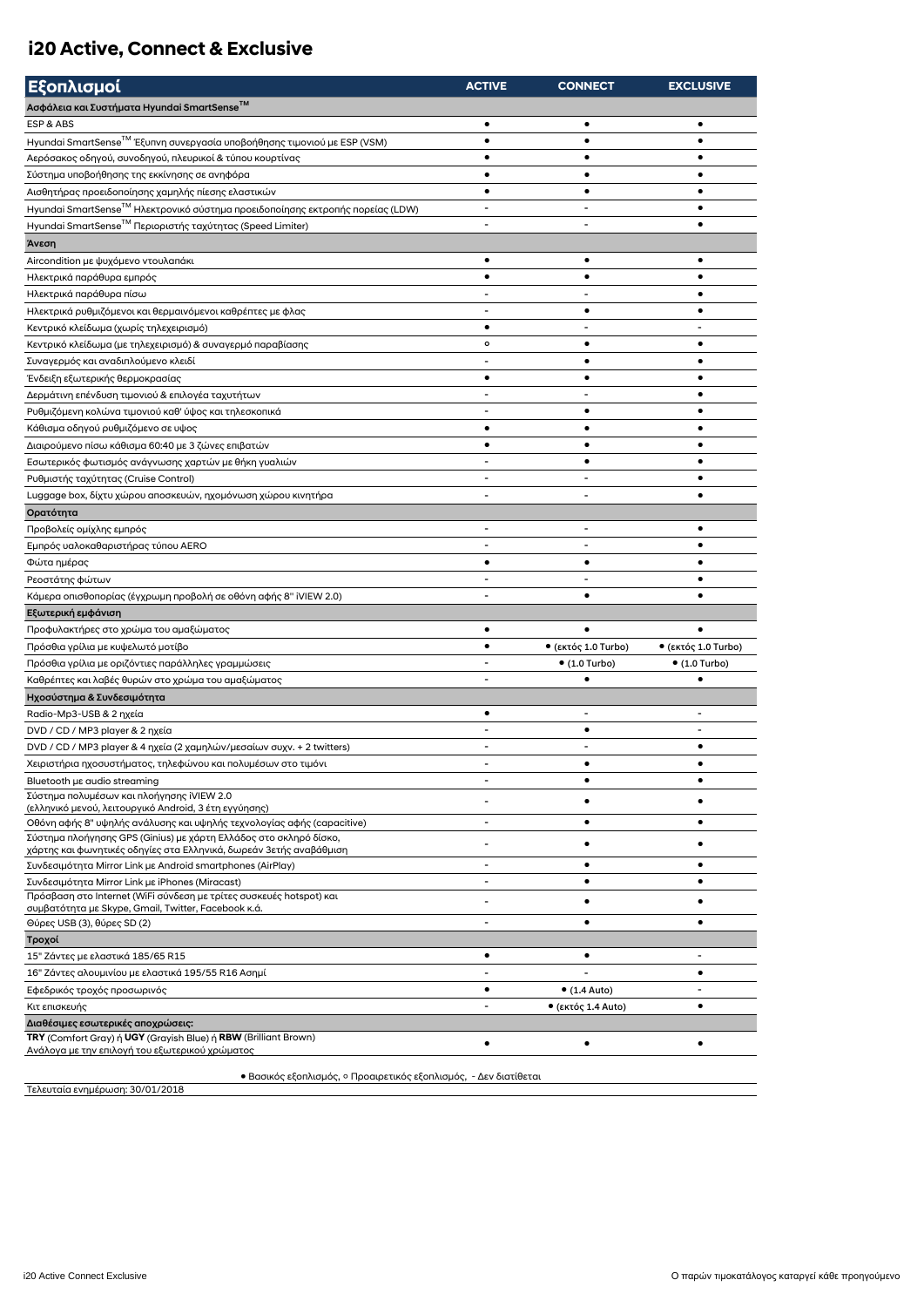#### **i20 Active, Connect & Exclusive**

| Εξοπλισμοί                                                                                                                 | <b>ACTIVE</b>            | <b>CONNECT</b>           | <b>EXCLUSIVE</b>             |
|----------------------------------------------------------------------------------------------------------------------------|--------------------------|--------------------------|------------------------------|
| Ασφάλεια και Συστήματα Hyundai SmartSense <sup>™</sup>                                                                     |                          |                          |                              |
| ESP & ABS                                                                                                                  | $\bullet$                | ٠                        | $\bullet$                    |
| Hyundai SmartSense <sup>™</sup> Έξυπνη συνεργασία υποβοήθησης τιμονιού με ESP (VSM)                                        | $\bullet$                | ٠                        | $\bullet$                    |
| Αερόσακος οδηγού, συνοδηγού, πλευρικοί & τύπου κουρτίνας                                                                   | ٠                        |                          |                              |
| Σύστημα υποβοήθησης της εκκίνησης σε ανηφόρα                                                                               | $\bullet$                | $\bullet$                | $\bullet$                    |
| Αισθητήρας προειδοποίησης χαμηλής πίεσης ελαστικών                                                                         | $\bullet$                | $\bullet$                | ٠                            |
| Hyundai SmartSense <sup>TM</sup> Ηλεκτρονικό σύστημα προειδοποίησης εκτροπής πορείας (LDW)                                 |                          |                          | $\bullet$                    |
| Hyundai SmartSense <sup>™</sup> Περιοριστής ταχύτητας (Speed Limiter)                                                      | $\blacksquare$           | $\blacksquare$           | ٠                            |
| Άνεση                                                                                                                      |                          |                          |                              |
| Aircondition με ψυχόμενο ντουλαπάκι                                                                                        | ٠                        | ٠                        | ٠                            |
| Ηλεκτρικά παράθυρα εμπρός                                                                                                  | $\bullet$                | $\bullet$                | ٠                            |
| Ηλεκτρικά παράθυρα πίσω                                                                                                    |                          |                          | ٠                            |
| Ηλεκτρικά ρυθμιζόμενοι και θερμαινόμενοι καθρέπτες με φλας                                                                 |                          | ٠                        | ٠                            |
| Κεντρικό κλείδωμα (χωρίς τηλεχειρισμό)                                                                                     | ٠                        | $\overline{\phantom{a}}$ | $\qquad \qquad \blacksquare$ |
| Κεντρικό κλείδωμα (με τηλεχειρισμό) & συναγερμό παραβίασης                                                                 | $\mathbf{o}$             | ٠                        | $\bullet$                    |
| Συναγερμός και αναδιπλούμενο κλειδί                                                                                        |                          | $\bullet$                | ٠                            |
|                                                                                                                            | $\bullet$                | ٠                        | ٠                            |
| Ένδειξη εξωτερικής θερμοκρασίας                                                                                            |                          |                          | ٠                            |
| Δερμάτινη επένδυση τιμονιού & επιλογέα ταχυτήτων<br>Ρυθμιζόμενη κολώνα τιμονιού καθ' ύψος και τηλεσκοπικά                  | $\overline{\phantom{a}}$ | ٠                        | ٠                            |
|                                                                                                                            | $\bullet$                | $\bullet$                |                              |
| Κάθισμα οδηγού ρυθμιζόμενο σε υψος                                                                                         | $\bullet$                | $\bullet$                |                              |
| Διαιρούμενο πίσω κάθισμα 60:40 με 3 ζώνες επιβατών                                                                         |                          | $\bullet$                | ٠                            |
| Εσωτερικός φωτισμός ανάγνωσης χαρτών με θήκη γυαλιών                                                                       |                          |                          |                              |
| Ρυθμιστής ταχύτητας (Cruise Control)                                                                                       |                          |                          | ٠                            |
| Luggage box, δίχτυ χώρου αποσκευών, ηχομόνωση χώρου κινητήρα                                                               | $\blacksquare$           | $\blacksquare$           | ٠                            |
| Ορατότητα                                                                                                                  |                          |                          |                              |
| Προβολείς ομίχλης εμπρός                                                                                                   | $\blacksquare$           | $\overline{\phantom{a}}$ | ٠                            |
| Εμπρός υαλοκαθαριστήρας τύπου ΑΕRΟ                                                                                         |                          |                          |                              |
| Φώτα ημέρας                                                                                                                | $\bullet$                | $\bullet$                | ٠                            |
| Ρεοστάτης φώτων                                                                                                            | $\blacksquare$           | $\blacksquare$           | ٠                            |
| Κάμερα οπισθοπορίας (έγχρωμη προβολή σε οθόνη αφής 8" iVIEW 2.0)                                                           |                          | $\bullet$                |                              |
| Εξωτερική εμφάνιση                                                                                                         |                          |                          |                              |
| Προφυλακτήρες στο χρώμα του αμαξώματος                                                                                     | $\bullet$                |                          |                              |
| Πρόσθια γρίλια με κυψελωτό μοτίβο                                                                                          | ٠                        | • (εκτός 1.0 Turbo)      | • (εκτός 1.0 Turbo)          |
| Πρόσθια γρίλια με οριζόντιες παράλληλες γραμμώσεις                                                                         | $\blacksquare$           | $• (1.0$ Turbo)          | $• (1.0$ Turbo)              |
| Καθρέπτες και λαβές θυρών στο χρώμα του αμαξώματος                                                                         | $\overline{a}$           |                          |                              |
| Ηχοσύστημα & Συνδεσιμότητα                                                                                                 |                          |                          |                              |
| Radio-Mp3-USB & 2 nxεία                                                                                                    | $\bullet$                |                          |                              |
| DVD / CD / MP3 player & 2 ηχεία                                                                                            |                          | $\bullet$                |                              |
| DVD / CD / MP3 player & 4 ηχεία (2 χαμηλών/μεσαίων συχν. + 2 twitters)                                                     | $\blacksquare$           | $\blacksquare$           | ٠                            |
| Χειριστήρια ηχοσυστήματος, τηλεφώνου και πολυμέσων στο τιμόνι                                                              |                          |                          |                              |
| Bluetooth µs audio streaming                                                                                               | $\overline{a}$           | $\bullet$                | $\bullet$                    |
| Σύστημα πολυμέσων και πλοήγησης iVIEW 2.0<br>(ελληνικό μενού, λειτουργικό Android, 3 έτη εγγύησης)                         |                          |                          |                              |
| Οθόνη αφής 8" υψηλής ανάλυσης και υψηλής τεχνολογίας αφής (capacitive)                                                     |                          | ٠                        | ٠                            |
| Σύστημα πλοήγησης GPS (Ginius) με χάρτη Ελλάδος στο σκληρό δίσκο,                                                          |                          | ٠                        |                              |
| χάρτης και φωνητικές οδηγίες στα Ελληνικά, δωρεάν 3ετής αναβάθμιση                                                         |                          |                          |                              |
| Συνδεσιμότητα Mirror Link με Android smartphones (AirPlay)                                                                 | $\overline{\phantom{a}}$ | ٠                        | ٠                            |
| Συνδεσιμότητα Mirror Link με iPhones (Miracast)                                                                            | $\blacksquare$           | $\bullet$                | ٠                            |
| Πρόσβαση στο Internet (WiFi σύνδεση με τρίτες συσκευές hotspot) και<br>συμβατότητα με Skype, Gmail, Twitter, Facebook κ.ά. |                          | ٠                        |                              |
| Θύρες USB (3), θύρες SD (2)                                                                                                | $\overline{\phantom{a}}$ | $\bullet$                |                              |
| Τροχοί                                                                                                                     |                          |                          |                              |
| 15" Ζάντες με ελαστικά 185/65 R15                                                                                          | ٠                        | ٠                        |                              |
| 16" Ζάντες αλουμινίου με ελαστικά 195/55 R16 Ασημί                                                                         |                          |                          | ٠                            |
| Εφεδρικός τροχός προσωρινός                                                                                                | $\bullet$                | $\bullet$ (1.4 Auto)     |                              |
| Κιτ επισκευής                                                                                                              | $\overline{\phantom{a}}$ | • (εκτός 1.4 Auto)       | ٠                            |
| Διαθέσιμες εσωτερικές αποχρώσεις:                                                                                          |                          |                          |                              |
| TRY (Comfort Gray) ή UGY (Grayish Blue) ή RBW (Brilliant Brown)                                                            | ٠                        | $\bullet$                | ٠                            |
| Ανάλογα με την επιλογή του εξωτερικού χρώματος                                                                             |                          |                          |                              |
| • Βασικός εξοπλισμός, ο Προαιρετικός εξοπλισμός, - Δεν διατίθεται                                                          |                          |                          |                              |
| Τελευταία ενημέρωση: 30/01/2018                                                                                            |                          |                          |                              |

Τελευταία ενημέρωση: 30/01/2018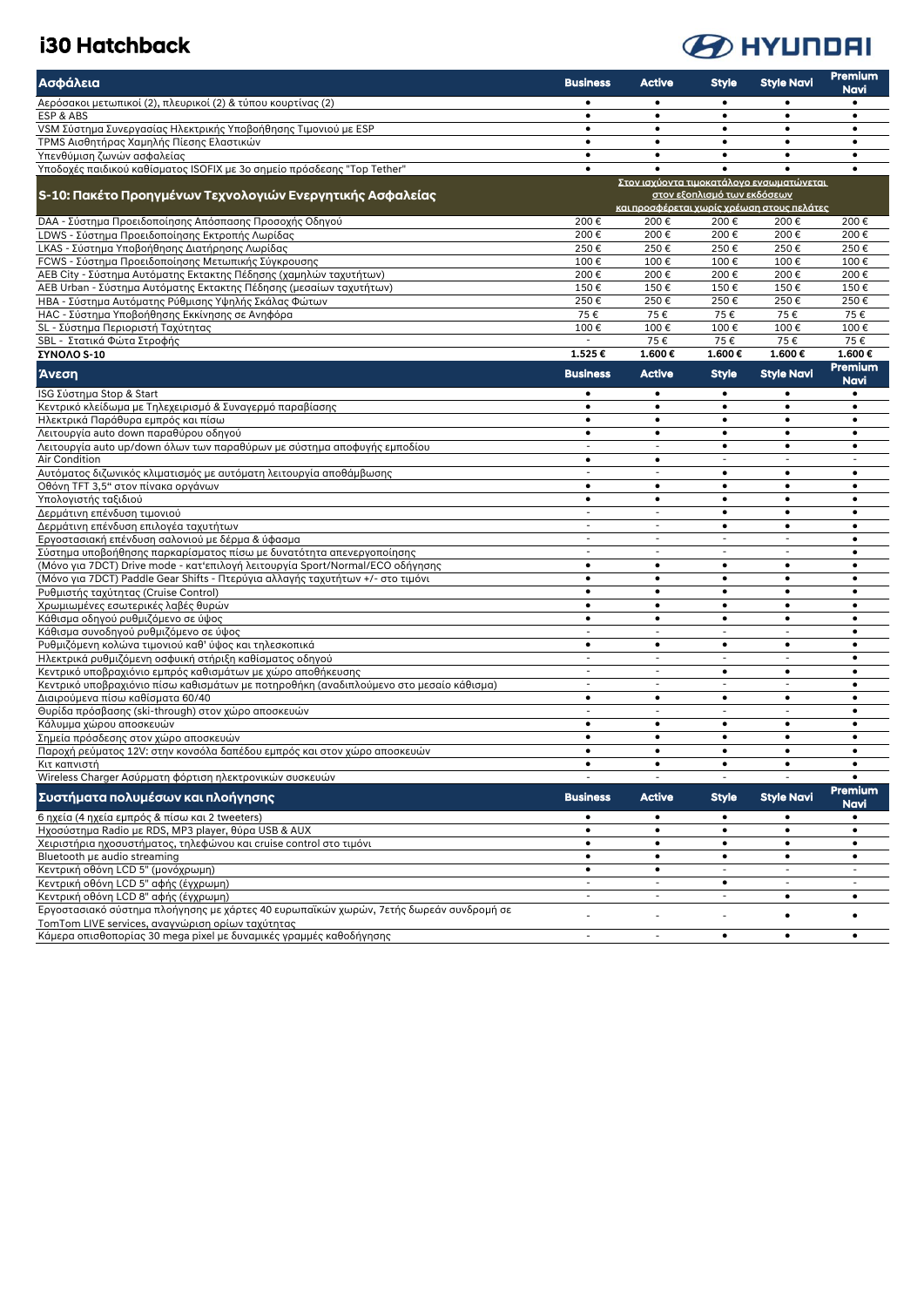### i30 Hatchback



| Ασφάλεια                                                                                                                 | <b>Business</b>                       | Active                                     | <b>Style</b>                | <b>Style Navi</b>                          | <b>Premium</b><br>Navi   |
|--------------------------------------------------------------------------------------------------------------------------|---------------------------------------|--------------------------------------------|-----------------------------|--------------------------------------------|--------------------------|
| Αερόσακοι μετωπικοί (2), πλευρικοί (2) & τύπου κουρτίνας (2)                                                             | $\bullet$                             | $\bullet$                                  | $\bullet$                   | $\bullet$                                  | $\bullet$                |
| ESP & ABS                                                                                                                | $\bullet$                             | $\bullet$                                  | $\bullet$                   | $\bullet$                                  | $\bullet$                |
| VSM Σύστημα Συνεργασίας Ηλεκτρικής Υποβοήθησης Τιμονιού με ESP<br>ΤΡΜS Αισθητήρας Χαμηλής Πίεσης Ελαστικών               | $\bullet$<br>$\bullet$                | $\bullet$<br>$\bullet$                     | $\bullet$<br>$\bullet$      | $\bullet$<br>$\bullet$                     | $\bullet$<br>$\bullet$   |
| Υπενθύμιση ζωνών ασφαλείας                                                                                               | $\bullet$                             | $\bullet$                                  | $\bullet$                   | $\bullet$                                  | $\bullet$                |
| Υποδοχές παιδικού καθίσματος ISOFIX με 3ο σημείο πρόσδεσης "Top Tether"                                                  | $\bullet$                             | $\bullet$                                  |                             |                                            | $\bullet$                |
|                                                                                                                          |                                       |                                            |                             | Στον ισχύοντα τιμοκατάλονο ενσωματώνεται   |                          |
| S-10: Πακέτο Προηγμένων Τεχνολογιών Ενεργητικής Ασφαλείας                                                                |                                       |                                            | στον εξοπλισμό των εκδόσεων | και προσφέρεται χωρίς χρέωση στους πελάτες |                          |
| DAA - Σύστημα Προειδοποίησης Απόσπασης Προσοχής Οδηγού                                                                   | 200€                                  | 200€                                       | 200€                        | 200€                                       | 200€                     |
| LDWS - Σύστημα Προειδοποίησης Εκτροπής Λωρίδας                                                                           | 200€                                  | 200€                                       | 200€                        | 200€                                       | 200€                     |
| LKAS - Σύστημα Υποβοήθησης Διατήρησης Λωρίδας<br>FCWS - Σύστημα Προειδοποίησης Μετωπικής Σύγκρουσης                      | 250€<br>100€                          | 250€<br>100€                               | 250€<br>100€                | 250€<br>100€                               | 250€<br>100€             |
| AEB City - Σύστημα Αυτόματης Εκτακτης Πέδησης (χαμηλών ταχυτήτων)                                                        | 200€                                  | 200€                                       | 200€                        | 200€                                       | 200€                     |
| AEB Urban - Σύστημα Αυτόματης Εκτακτης Πέδησης (μεσαίων ταχυτήτων)                                                       | 150€                                  | 150€                                       | 150€                        | 150€                                       | 150€                     |
| ΗΒΑ - Σύστημα Αυτόματης Ρύθμισης Υψηλής Σκάλας Φώτων                                                                     | 250€                                  | 250€                                       | 250€                        | 250€                                       | 250€                     |
| ΗΑΟ - Σύστημα Υποβοήθησης Εκκίνησης σε Ανηφόρα                                                                           | 75€                                   | 75€                                        | 75€                         | 75€                                        | 75€                      |
| SL - Σύστημα Περιοριστή Ταχύτητας                                                                                        | 100€                                  | 100€                                       | 100€                        | 100€                                       | 100€                     |
| SBL - Στατικά Φώτα Στροφής                                                                                               | $\sim$                                | 75€                                        | 75€                         | 75€                                        | 75€                      |
| <b>ΣΥΝΟΛΟ S-10</b>                                                                                                       | 1.525€                                | 1.600€                                     | 1.600€                      | 1.600€                                     | 1.600€<br>Premium        |
| Άνεση                                                                                                                    | <b>Business</b>                       | <b>Active</b>                              | <b>Style</b>                | <b>Style Navi</b>                          | Navi                     |
| ISG Σύστημα Stop & Start                                                                                                 | $\bullet$                             | $\bullet$                                  | $\bullet$                   | $\bullet$                                  | $\bullet$                |
| Κεντρικό κλείδωμα με Τηλεχειρισμό & Συναγερμό παραβίασης                                                                 | $\bullet$                             | $\bullet$                                  | $\bullet$                   | $\bullet$                                  | $\bullet$                |
| Ηλεκτρικά Παράθυρα εμπρός και πίσω                                                                                       | $\bullet$<br>$\bullet$                | $\bullet$                                  | $\bullet$<br>$\bullet$      | $\bullet$<br>$\bullet$                     | $\bullet$<br>$\bullet$   |
| Λειτουργία auto down παραθύρου οδηγού<br>Λειτουργία auto up/down όλων των παραθύρων με σύστημα αποφυγής εμποδίου         | $\overline{\phantom{a}}$              | $\bullet$<br>$\overline{\phantom{a}}$      | $\bullet$                   | $\bullet$                                  | $\bullet$                |
| Air Condition                                                                                                            | $\bullet$                             | $\bullet$                                  | $\overline{\phantom{a}}$    |                                            |                          |
| Αυτόματος διζωνικός κλιματισμός με αυτόματη λειτουργία αποθάμβωσης                                                       | $\overline{a}$                        | $\overline{\phantom{a}}$                   | $\bullet$                   | $\bullet$                                  | $\bullet$                |
| Οθόνη TFT 3,5" στον πίνακα οργάνων                                                                                       | $\bullet$                             | $\bullet$                                  | $\bullet$                   | $\bullet$                                  | $\bullet$                |
| Υπολογιστής ταξιδιού                                                                                                     | $\bullet$                             | $\bullet$                                  | $\bullet$                   | $\bullet$                                  | $\bullet$                |
| Δερμάτινη επένδυση τιμονιού                                                                                              | $\blacksquare$                        | $\overline{\phantom{a}}$                   | $\bullet$                   | $\bullet$                                  | $\bullet$                |
| Δερμάτινη επένδυση επιλογέα ταχυτήτων                                                                                    | $\overline{\phantom{a}}$<br>$\sim$    | $\overline{\phantom{a}}$                   | $\bullet$<br>$\sim$         | $\bullet$<br>$\blacksquare$                | $\bullet$                |
| Εργοστασιακή επένδυση σαλονιού με δέρμα & ύφασμα<br>Σύστημα υποβοήθησης παρκαρίσματος πίσω με δυνατότητα απενεργοποίησης | $\overline{\phantom{a}}$              | $\blacksquare$<br>$\overline{\phantom{a}}$ |                             |                                            | $\bullet$                |
| (Μόνο για 7DCT) Drive mode - κατ'επιλογή λειτουργία Sport/Normal/ECO οδήγησης                                            | $\bullet$                             | $\bullet$                                  | $\bullet$                   | $\bullet$                                  | $\bullet$                |
| (Μόνο για 7DCT) Paddle Gear Shifts - Πτερύγια αλλαγής ταχυτήτων +/- στο τιμόνι                                           | $\bullet$                             | $\bullet$                                  | $\bullet$                   | $\bullet$                                  | $\bullet$                |
| Ρυθμιστής ταχύτητας (Cruise Control)                                                                                     | $\bullet$                             | $\bullet$                                  | $\bullet$                   | $\bullet$                                  | $\bullet$                |
| Χρωμιωμένες εσωτερικές λαβές θυρών                                                                                       | $\bullet$                             | $\bullet$                                  | $\bullet$                   | $\bullet$                                  | $\bullet$                |
| Κάθισμα οδηγού ρυθμιζόμενο σε ύψος                                                                                       | $\bullet$                             | $\bullet$                                  | $\bullet$                   | $\bullet$                                  | $\bullet$                |
| Κάθισμα συνοδηγού ρυθμιζόμενο σε ύψος                                                                                    | ÷,                                    | $\sim$                                     | $\sim$                      | ÷.                                         | $\bullet$                |
| Ρυθμιζόμενη κολώνα τιμονιού καθ' ύψος και τηλεσκοπικά                                                                    | $\bullet$<br>$\overline{\phantom{a}}$ | $\bullet$<br>$\overline{\phantom{a}}$      | $\bullet$<br>$\sim$         | $\bullet$<br>÷.                            | $\bullet$<br>$\bullet$   |
| Ηλεκτρικά ρυθμιζόμενη οσφυική στήριξη καθίσματος οδηγού<br>Κεντρικό υποβραχιόνιο εμπρός καθισμάτων με χώρο αποθήκευσης   | $\blacksquare$                        | $\blacksquare$                             | $\bullet$                   | $\bullet$                                  | $\bullet$                |
| Κεντρικό υποβραχιόνιο πίσω καθισμάτων με ποτηροθήκη (αναδιπλούμενο στο μεσαίο κάθισμα)                                   | $\overline{\phantom{a}}$              | $\overline{\phantom{a}}$                   | $\overline{\phantom{a}}$    | ÷                                          | $\bullet$                |
| Διαιρούμενα πίσω καθίσματα 60/40                                                                                         | $\bullet$                             | $\bullet$                                  | $\bullet$                   | $\bullet$                                  | $\bullet$                |
| Θυρίδα πρόσβασης (ski-through) στον χώρο αποσκευών                                                                       |                                       |                                            |                             |                                            | $\bullet$                |
| Κάλυμμα χώρου αποσκευών                                                                                                  | $\bullet$                             | $\bullet$                                  | $\bullet$                   | $\bullet$                                  | $\bullet$                |
| Σημεία πρόσδεσης στον χώρο αποσκευών                                                                                     | $\bullet$                             | $\bullet$                                  | $\bullet$                   | $\bullet$                                  | $\bullet$                |
| Παροχή ρεύματος 12V: στην κονσόλα δαπέδου εμπρός και στον χώρο αποσκευών                                                 | $\bullet$                             | $\bullet$                                  | $\bullet$                   | $\bullet$                                  | $\bullet$                |
| Κιτ καπνιστή<br>Wireless Charger Ασύρματη φόρτιση ηλεκτρονικών συσκευών                                                  | $\bullet$                             | $\bullet$                                  | $\bullet$                   | $\bullet$                                  | $\bullet$<br>$\bullet$   |
|                                                                                                                          |                                       |                                            |                             |                                            | Premium                  |
| Συστήματα πολυμέσων και πλοήνησης                                                                                        | <b>Business</b>                       | <b>Active</b>                              | <b>Style</b>                | <b>Style Navi</b>                          | <b>Navi</b>              |
| 6 ηχεία (4 ηχεία εμπρός & πίσω και 2 tweeters)                                                                           | $\bullet$                             | ٠                                          | ٠                           | ٠                                          |                          |
| Hχοσύστημα Radio με RDS, MP3 player, θύρα USB & AUX                                                                      | $\bullet$<br>$\bullet$                | $\bullet$<br>$\bullet$                     | $\bullet$<br>$\bullet$      | $\bullet$<br>$\bullet$                     | $\bullet$<br>$\bullet$   |
| Χειριστήρια ηχοσυστήματος, τηλεφώνου και cruise control στο τιμόνι<br>Bluetooth µs audio streaming                       | $\bullet$                             | $\bullet$                                  | $\bullet$                   | $\bullet$                                  | $\bullet$                |
| Κεντρική οθόνη LCD 5" (μονόχρωμη)                                                                                        | $\bullet$                             | $\bullet$                                  | $\sim$                      | $\overline{\phantom{a}}$                   |                          |
| Κεντρική οθόνη LCD 5" αφής (έγχρωμη)                                                                                     | $\blacksquare$                        | $\equiv$                                   | $\bullet$                   | ÷                                          | $\overline{\phantom{a}}$ |
| Κεντρική οθόνη LCD 8" αφής (έγχρωμη)                                                                                     | ÷,                                    |                                            |                             | $\bullet$                                  | ٠                        |
| Εργοστασιακό σύστημα πλοήγησης με χάρτες 40 ευρωπαϊκών χωρών, 7ετής δωρεάν συνδρομή σε                                   | L,                                    | $\sim$                                     |                             | $\bullet$                                  | $\bullet$                |
| TomTom LIVE services, αναγνώριση ορίων ταχύτητας<br>Κάμερα οπισθοπορίας 30 mega pixel με δυναμικές γραμμές καθοδήγησης   | $\ddot{\phantom{1}}$                  | $\overline{\phantom{a}}$                   | $\bullet$                   | $\bullet$                                  | $\bullet$                |
|                                                                                                                          |                                       |                                            |                             |                                            |                          |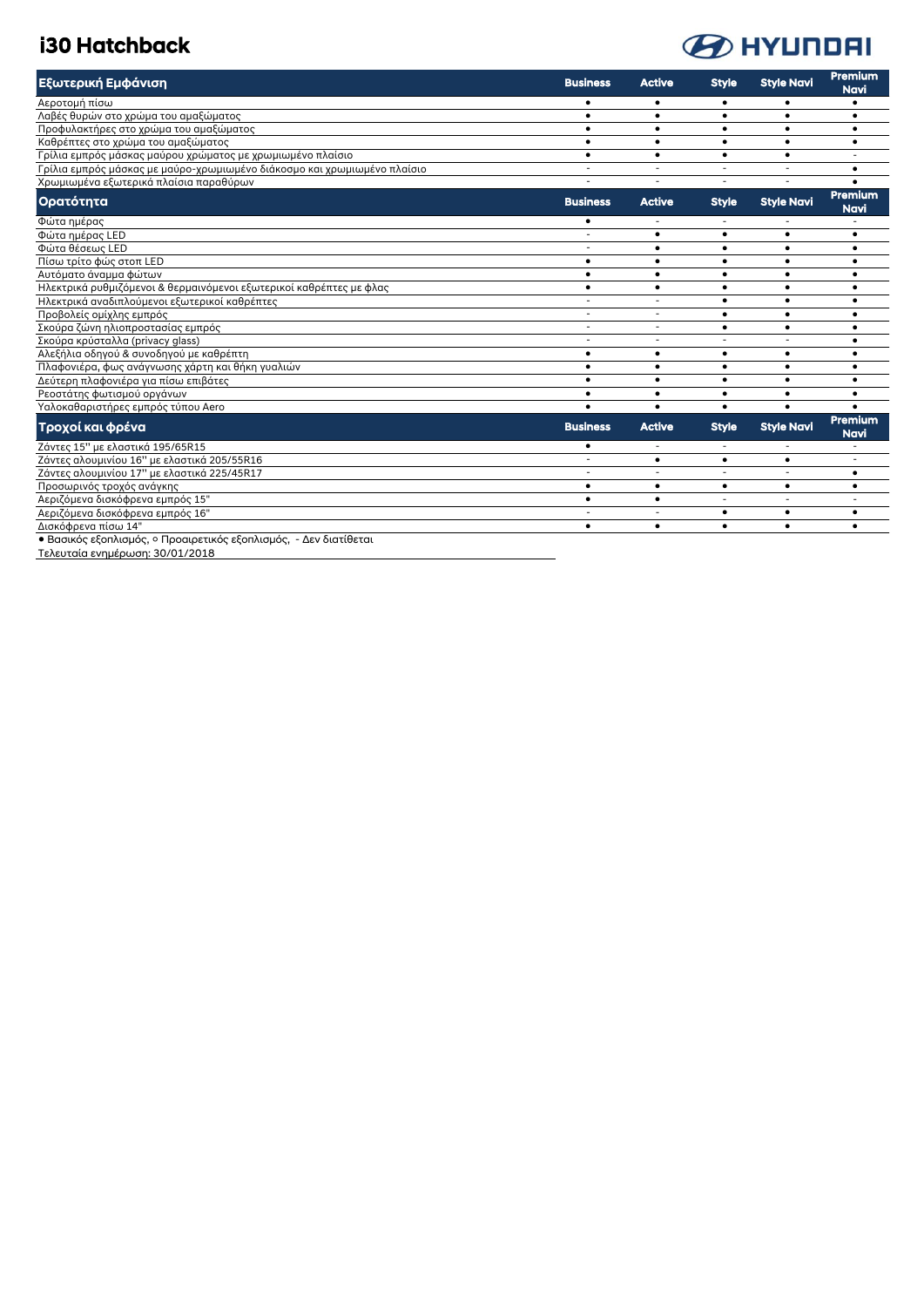### i30 Hatchback



| Εξωτερική Εμφάνιση                                                       | <b>Business</b>          | <b>Active</b>            | <b>Style</b> | <b>Style Navi</b> | Premium<br><b>Navi</b>        |
|--------------------------------------------------------------------------|--------------------------|--------------------------|--------------|-------------------|-------------------------------|
| Αεροτομή πίσω                                                            | $\bullet$                | $\bullet$                | $\bullet$    |                   |                               |
| Λαβές θυρών στο χρώμα του αμαξώματος                                     | $\bullet$                | $\bullet$                | $\bullet$    | $\bullet$         | $\bullet$                     |
| Προφυλακτήρες στο χρώμα του αμαξώματος                                   | $\bullet$                | $\bullet$                | $\bullet$    | $\bullet$         | $\bullet$                     |
| Καθρέπτες στο χρώμα του αμαξώματος                                       | $\bullet$                | $\bullet$                | $\bullet$    | $\bullet$         | $\bullet$                     |
| Γρίλια εμπρός μάσκας μαύρου χρώματος με χρωμιωμένο πλαίσιο               | $\bullet$                | $\bullet$                | $\bullet$    | $\bullet$         |                               |
| Γρίλια εμπρός μάσκας με μαύρο-χρωμιωμένο διάκοσμο και χρωμιωμένο πλαίσιο | $\overline{\phantom{a}}$ |                          |              |                   |                               |
| Χρωμιωμένα εξωτερικά πλαίσια παραθύρων                                   | $\overline{\phantom{a}}$ | $\sim$                   | $\sim$       |                   |                               |
| Ορατότητα                                                                | <b>Business</b>          | <b>Active</b>            | <b>Style</b> | <b>Style Navi</b> | <b>Premium</b><br>Navi        |
| Φώτα ημέρας                                                              | $\bullet$                |                          |              |                   |                               |
| Φώτα ημέρας LED                                                          | ÷                        | $\bullet$                | $\bullet$    |                   |                               |
| Φώτα θέσεως LED                                                          | ÷                        | $\bullet$                | $\bullet$    | $\bullet$         | ٠                             |
| Πίσω τρίτο φώς στοπ LED                                                  | $\bullet$                | $\bullet$                | $\bullet$    |                   |                               |
| Αυτόματο άναμμα φώτων                                                    | $\bullet$                | $\bullet$                | $\bullet$    | $\bullet$         |                               |
| Ηλεκτρικά ρυθμιζόμενοι & θερμαινόμενοι εξωτερικοί καθρέπτες με φλας      | $\bullet$                | $\bullet$                | $\bullet$    | $\bullet$         |                               |
| Ηλεκτρικά αναδιπλούμενοι εξωτερικοί καθρέπτες                            | $\overline{\phantom{a}}$ |                          | $\bullet$    | $\bullet$         |                               |
| Προβολείς ομίχλης εμπρός                                                 | $\overline{\phantom{a}}$ | $\overline{\phantom{a}}$ | $\bullet$    | $\bullet$         | $\bullet$                     |
| Σκούρα ζώνη ηλιοπροστασίας εμπρός                                        | $\overline{\phantom{a}}$ | $\overline{\phantom{a}}$ | $\bullet$    | $\bullet$         | ٠                             |
| Σκούρα κρύσταλλα (privacy glass)                                         | $\overline{a}$           |                          |              |                   | $\bullet$                     |
| Αλεξήλια οδηγού & συνοδηγού με καθρέπτη                                  | $\bullet$                | $\bullet$                | $\bullet$    | $\bullet$         | $\bullet$                     |
| Πλαφονιέρα, φως ανάγνωσης χάρτη και θήκη γυαλιών                         | $\bullet$                | $\bullet$                | ٠            | $\bullet$         | $\bullet$                     |
| Δεύτερη πλαφονιέρα για πίσω επιβάτες                                     | $\bullet$                | $\bullet$                | ٠            | ٠                 | ٠                             |
| Ρεοστάτης φωτισμού οργάνων                                               | ٠                        | $\bullet$                | $\bullet$    | ٠                 | $\bullet$                     |
| Υαλοκαθαριστήρες εμπρός τύπου Aero                                       | $\bullet$                | $\bullet$                | $\bullet$    | $\bullet$         |                               |
| Τροχοί και φρένα                                                         | <b>Business</b>          | <b>Active</b>            | <b>Style</b> | <b>Style Navi</b> | <b>Premium</b><br><b>Navi</b> |
| Ζάντες 15" με ελαστικά 195/65R15                                         | $\bullet$                |                          |              |                   |                               |
| Ζάντες αλουμινίου 16" με ελαστικά 205/55R16                              |                          | $\bullet$                | $\bullet$    | ٠                 |                               |
| Ζάντες αλουμινίου 17" με ελαστικά 225/45R17                              | $\overline{\phantom{a}}$ | $\sim$                   | $\sim$       | ÷                 | ٠                             |
| Προσωρινός τροχός ανάγκης                                                | $\bullet$                | $\bullet$                | $\bullet$    | $\bullet$         | $\bullet$                     |
| Αεριζόμενα δισκόφρενα εμπρός 15"                                         | $\bullet$                | $\bullet$                |              |                   |                               |
| Αεριζόμενα δισκόφρενα εμπρός 16"                                         |                          |                          | $\bullet$    | $\bullet$         |                               |
| Δισκόφρενα πίσω 14"                                                      | $\bullet$                | $\bullet$                | $\bullet$    | $\bullet$         |                               |
| • Βασικός εξοπλισμός, ο Προαιρετικός εξοπλισμός, - Δεν διατίθεται        |                          |                          |              |                   |                               |

Τελευταία ενημέρωση: 30/01/2018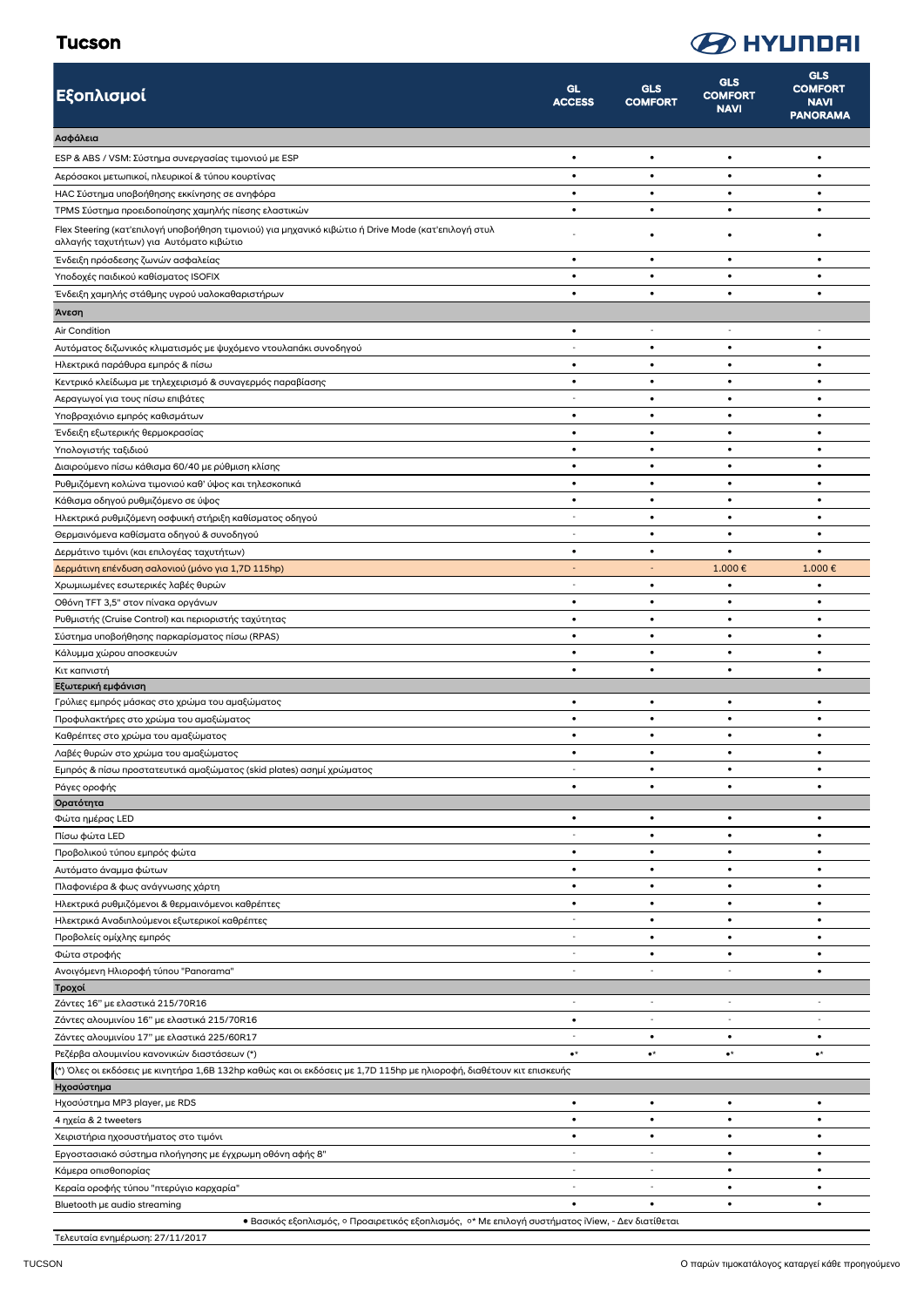#### Tucson

## **B** HYUNDAI

| Εξοπλισμοί                                                                                                                                     | <b>GL</b><br><b>ACCESS</b> | GLS<br><b>COMFORT</b>          | <b>GLS</b><br><b>COMFORT</b><br><b>NAVI</b> | <b>GLS</b><br><b>COMFORT</b><br><b>NAVI</b><br><b>PANORAMA</b> |
|------------------------------------------------------------------------------------------------------------------------------------------------|----------------------------|--------------------------------|---------------------------------------------|----------------------------------------------------------------|
| Ασφάλεια                                                                                                                                       |                            |                                |                                             |                                                                |
| ESP & ABS / VSM: Σύστημα συνεργασίας τιμονιού με ESP                                                                                           | $\bullet$                  | $\bullet$                      | $\bullet$                                   | $\bullet$                                                      |
| Αερόσακοι μετωπικοί, πλευρικοί & τύπου κουρτίνας                                                                                               | $\bullet$                  | $\bullet$                      | $\bullet$                                   | $\bullet$                                                      |
| ΗΑΟ Σύστημα υποβοήθησης εκκίνησης σε ανηφόρα                                                                                                   | $\bullet$                  | ٠                              | ٠                                           | ٠                                                              |
| TPMS Σύστημα προειδοποίησης χαμηλής πίεσης ελαστικών                                                                                           | $\bullet$                  | $\bullet$                      | ٠                                           | ٠                                                              |
| Flex Steering (κατ'επιλογή υποβοήθηση τιμονιού) για μηχανικό κιβώτιο ή Drive Mode (κατ'επιλογή στυλ<br>αλλαγής ταχυτήτων) για Αυτόματο κιβώτιο |                            | ٠                              | ٠                                           | ٠                                                              |
| Ένδειξη πρόσδεσης ζωνών ασφαλείας                                                                                                              | $\bullet$                  | $\bullet$                      | $\bullet$                                   | ٠                                                              |
| Υποδοχές παιδικού καθίσματος ISOFIX                                                                                                            | $\bullet$                  | $\bullet$                      | ٠                                           | $\bullet$                                                      |
| Ένδειξη χαμηλής στάθμης υγρού υαλοκαθαριστήρων                                                                                                 | $\bullet$                  | $\bullet$                      | ٠                                           | ٠                                                              |
| Άνεση                                                                                                                                          |                            |                                |                                             |                                                                |
| Air Condition                                                                                                                                  | $\bullet$                  | $\overline{\phantom{a}}$       | $\overline{\phantom{a}}$                    |                                                                |
| Αυτόματος διζωνικός κλιματισμός με ψυχόμενο ντουλαπάκι συνοδηγού                                                                               | $\sim$                     | $\bullet$                      | $\bullet$                                   | ٠                                                              |
| Ηλεκτρικά παράθυρα εμπρός & πίσω                                                                                                               | $\bullet$<br>$\bullet$     | $\bullet$<br>$\bullet$         | $\bullet$<br>٠                              | $\bullet$<br>٠                                                 |
| Κεντρικό κλείδωμα με τηλεχειρισμό & συναγερμός παραβίασης<br>Αεραγωγοί για τους πίσω επιβάτες                                                  |                            | $\bullet$                      | ٠                                           | ٠                                                              |
| Υποβραχιόνιο εμπρός καθισμάτων                                                                                                                 | $\bullet$                  | $\bullet$                      | $\bullet$                                   | ٠                                                              |
| Ένδειξη εξωτερικής θερμοκρασίας                                                                                                                | $\bullet$                  | $\bullet$                      | $\bullet$                                   | $\bullet$                                                      |
| Υπολογιστής ταξιδιού                                                                                                                           | $\bullet$                  | $\bullet$                      | ٠                                           | ٠                                                              |
| Διαιρούμενο πίσω κάθισμα 60/40 με ρύθμιση κλίσης                                                                                               | $\bullet$                  | $\bullet$                      | $\bullet$                                   | $\bullet$                                                      |
| Ρυθμιζόμενη κολώνα τιμονιού καθ' ύψος και τηλεσκοπικά                                                                                          | $\bullet$                  | $\bullet$                      | ٠                                           | ٠                                                              |
| Κάθισμα οδηγού ρυθμιζόμενο σε ύψος                                                                                                             | $\bullet$                  | $\bullet$                      | ٠                                           | ٠                                                              |
| Ηλεκτρικά ρυθμιζόμενη οσφυική στήριξη καθίσματος οδηγού                                                                                        | $\sim$                     | $\bullet$                      | ٠                                           | $\bullet$                                                      |
| Θερμαινόμενα καθίσματα οδηγού & συνοδηγού                                                                                                      | $\sim$                     | $\bullet$                      | $\bullet$                                   | ٠                                                              |
| Δερμάτινο τιμόνι (και επιλογέας ταχυτήτων)                                                                                                     | $\bullet$                  | $\bullet$                      | ٠                                           | $\bullet$                                                      |
| Δερμάτινη επένδυση σαλονιού (μόνο για 1,7D 115hp)                                                                                              | $\overline{\phantom{a}}$   | $\overline{\phantom{a}}$       | 1.000€                                      | 1.000€                                                         |
| Χρωμιωμένες εσωτερικές λαβές θυρών                                                                                                             | $\sim$                     | $\bullet$                      | ٠                                           | ٠                                                              |
| Οθόνη TFT 3,5" στον πίνακα οργάνων<br>Ρυθμιστής (Cruise Control) και περιοριστής ταχύτητας                                                     | $\bullet$<br>$\bullet$     | $\bullet$<br>$\bullet$         | ٠<br>٠                                      | ٠<br>٠                                                         |
| Σύστημα υποβοήθησης παρκαρίσματος πίσω (RPAS)                                                                                                  | $\bullet$                  | $\bullet$                      | ٠                                           | $\bullet$                                                      |
| Κάλυμμα χώρου αποσκευών                                                                                                                        | $\bullet$                  | $\bullet$                      | $\bullet$                                   | ٠                                                              |
| Κιτ καπνιστή                                                                                                                                   | $\bullet$                  | $\bullet$                      | $\bullet$                                   | $\bullet$                                                      |
| Εξωτερική εμφάνιση                                                                                                                             |                            |                                |                                             |                                                                |
| Γρύλιες εμπρός μάσκας στο χρώμα του αμαξώματος                                                                                                 | $\bullet$                  | $\bullet$                      | $\bullet$                                   | ٠                                                              |
| Προφυλακτήρες στο χρώμα του αμαξώματος                                                                                                         | $\bullet$                  | $\bullet$                      | $\bullet$                                   | ٠                                                              |
| Καθρέπτες στο χρώμα του αμαξώματος                                                                                                             | $\bullet$                  | $\bullet$                      | ٠                                           | ٠                                                              |
| Λαβές θυρών στο χρώμα του αμαξώματος                                                                                                           | $\bullet$                  | ٠                              | ٠                                           | ٠                                                              |
| Εμπρός & πίσω προστατευτικά αμαξώματος (skid plates) ασημί χρώματος                                                                            | $\sim$<br>$\bullet$        | $\bullet$<br>٠                 | $\bullet$<br>٠                              | ٠<br>٠                                                         |
| Ράγες οροφής<br>Ορατότητα                                                                                                                      |                            |                                |                                             |                                                                |
| Φώτα ημέρας LED                                                                                                                                | $\bullet$                  | $\bullet$                      | $\bullet$                                   | ٠                                                              |
| Πίσω φώτα LED                                                                                                                                  | $\sim$                     | $\bullet$                      | $\bullet$                                   | $\bullet$                                                      |
| Προβολικού τύπου εμπρός φώτα                                                                                                                   | $\bullet$                  | $\bullet$                      | ٠                                           | ٠                                                              |
| Αυτόματο άναμμα φώτων                                                                                                                          | $\bullet$                  | $\bullet$                      | $\bullet$                                   | ٠                                                              |
| Πλαφονιέρα & φως ανάγνωσης χάρτη                                                                                                               | $\bullet$                  | $\bullet$                      | ٠                                           | $\bullet$                                                      |
| Ηλεκτρικά ρυθμιζόμενοι & θερμαινόμενοι καθρέπτες                                                                                               | ٠                          | $\bullet$                      | ٠                                           | ٠                                                              |
| Ηλεκτρικά Αναδιπλούμενοι εξωτερικοί καθρέπτες                                                                                                  | $\sim$                     | $\bullet$                      | $\bullet$                                   | $\bullet$                                                      |
| Προβολείς ομίχλης εμπρός                                                                                                                       | $\sim$                     | $\bullet$                      | $\bullet$                                   | ٠                                                              |
| Φώτα στροφής                                                                                                                                   | $\sim$                     | $\bullet$                      | ٠                                           | $\bullet$                                                      |
| Ανοιγόμενη Ηλιοροφή τύπου "Panorama"                                                                                                           |                            |                                |                                             | ٠                                                              |
| Τροχοί<br>Ζάντες 16" με ελαστικά 215/70R16                                                                                                     | $\sim$                     | ÷,                             | $\sim$                                      | $\sim$                                                         |
| Ζάντες αλουμινίου 16" με ελαστικά 215/70R16                                                                                                    | $\bullet$                  | $\overline{\phantom{m}}$       |                                             |                                                                |
| Ζάντες αλουμινίου 17" με ελαστικά 225/60R17                                                                                                    |                            | $\bullet$                      | ٠                                           | ٠                                                              |
| Ρεζέρβα αλουμινίου κανονικών διαστάσεων (*)                                                                                                    | $\bullet^\star$            | $\bullet^\star$                | $\bullet^\star$                             | $\bullet^\star$                                                |
| (*) Όλες οι εκδόσεις με κινητήρα 1,6B 132hp καθώς και οι εκδόσεις με 1,7D 115hp με ηλιοροφή, διαθέτουν κιτ επισκευής                           |                            |                                |                                             |                                                                |
| Ηχοσύστημα                                                                                                                                     |                            |                                |                                             |                                                                |
| Ηχοσύστημα MP3 player, με RDS                                                                                                                  | $\bullet$                  | $\bullet$                      | $\bullet$                                   | ٠                                                              |
| 4 ηχεία & 2 tweeters                                                                                                                           | $\bullet$                  | $\bullet$                      | ٠                                           | $\bullet$                                                      |
| Χειριστήρια ηχοσυστήματος στο τιμόνι                                                                                                           | $\bullet$                  | $\bullet$                      | ٠                                           | $\bullet$                                                      |
| Εργοστασιακό σύστημα πλοήγησης με έγχρωμη οθόνη αφής 8"                                                                                        | $\sim$<br>$\sim$           | $\overline{\phantom{a}}$<br>÷, | ٠<br>$\bullet$                              | ٠<br>$\bullet$                                                 |
| Κάμερα οπισθοπορίας<br>Κεραία οροφής τύπου "πτερύγιο καρχαρία"                                                                                 |                            |                                | ٠                                           | ٠                                                              |
| Bluetooth µɛ audio streaming                                                                                                                   | $\bullet$                  | $\bullet$                      | ٠                                           | $\bullet$                                                      |
| ● Βασικός εξοπλισμός, ○ Προαιρετικός εξοπλισμός, ○* Με επιλογή συστήματος iView, - Δεν διατίθεται                                              |                            |                                |                                             |                                                                |

Τελευταία ενημέρωση: 27/11/2017